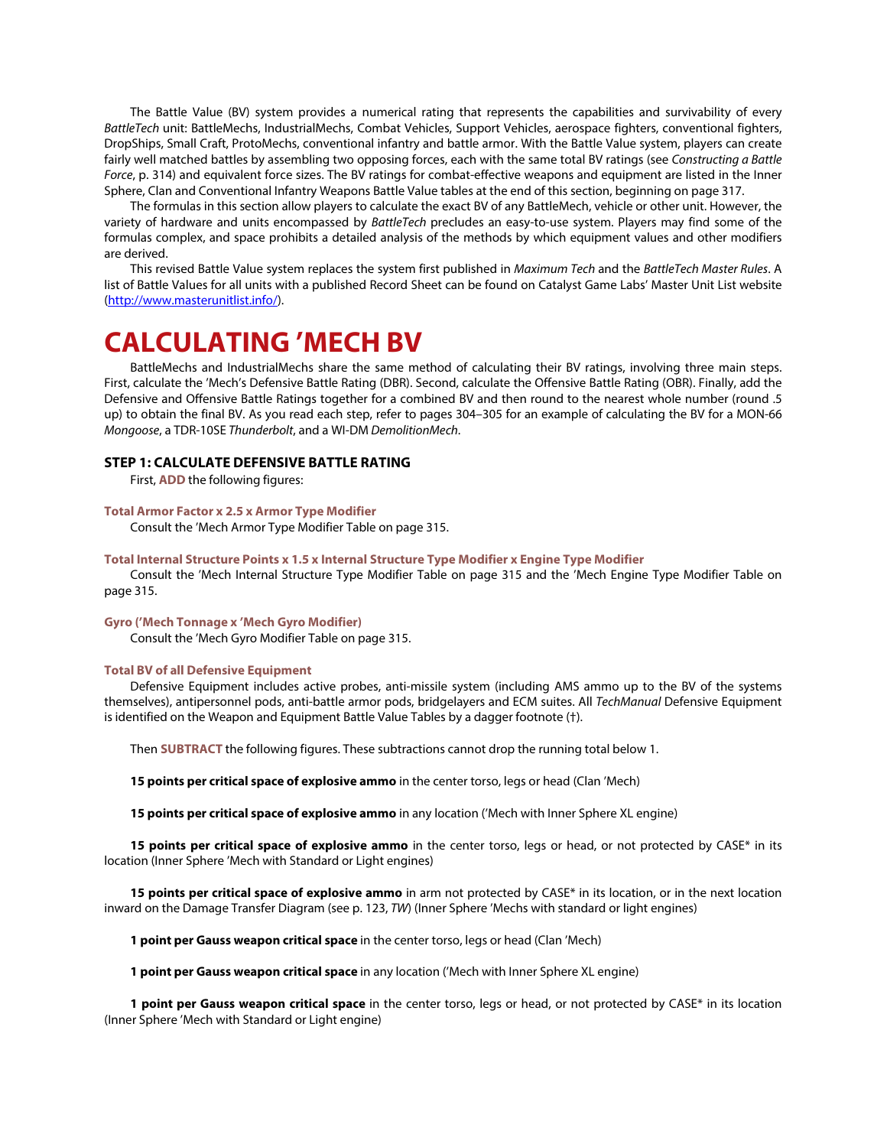The Battle Value (BV) system provides a numerical rating that represents the capabilities and survivability of every *BattleTech* unit: BattleMechs, IndustrialMechs, Combat Vehicles, Support Vehicles, aerospace fighters, conventional fighters, DropShips, Small Craft, ProtoMechs, conventional infantry and battle armor. With the Battle Value system, players can create fairly well matched battles by assembling two opposing forces, each with the same total BV ratings (see *Constructing a Battle Force*, p. 314) and equivalent force sizes. The BV ratings for combat-effective weapons and equipment are listed in the Inner Sphere, Clan and Conventional Infantry Weapons Battle Value tables at the end of this section, beginning on page 317.

The formulas in this section allow players to calculate the exact BV of any BattleMech, vehicle or other unit. However, the variety of hardware and units encompassed by *BattleTech* precludes an easy-to-use system. Players may find some of the formulas complex, and space prohibits a detailed analysis of the methods by which equipment values and other modifiers are derived.

This revised Battle Value system replaces the system first published in *Maximum Tech* and the *BattleTech Master Rules*. A list of Battle Values for all units with a published Record Sheet can be found on Catalyst Game Labs' Master Unit List website [\(http://www.masterunitlist.info/\)](http://www.masterunitlist.info/).

## **CALCULATING 'MECH BV**

BattleMechs and IndustrialMechs share the same method of calculating their BV ratings, involving three main steps. First, calculate the 'Mech's Defensive Battle Rating (DBR). Second, calculate the Offensive Battle Rating (OBR). Finally, add the Defensive and Offensive Battle Ratings together for a combined BV and then round to the nearest whole number (round .5 up) to obtain the final BV. As you read each step, refer to pages 304–305 for an example of calculating the BV for a MON-66 *Mongoose*, a TDR-10SE *Thunderbolt*, and a WI-DM *DemolitionMech*.

## **STEP 1: CALCULATE DEFENSIVE BATTLE RATING**

First, **ADD** the following figures:

### **Total Armor Factor x 2.5 x Armor Type Modifier**

Consult the 'Mech Armor Type Modifier Table on page 315.

### **Total Internal Structure Points x 1.5 x Internal Structure Type Modifier x Engine Type Modifier**

Consult the 'Mech Internal Structure Type Modifier Table on page 315 and the 'Mech Engine Type Modifier Table on page 315.

#### **Gyro ('Mech Tonnage x 'Mech Gyro Modifier)**

Consult the 'Mech Gyro Modifier Table on page 315.

#### **Total BV of all Defensive Equipment**

Defensive Equipment includes active probes, anti-missile system (including AMS ammo up to the BV of the systems themselves), antipersonnel pods, anti-battle armor pods, bridgelayers and ECM suites. All *TechManual* Defensive Equipment is identified on the Weapon and Equipment Battle Value Tables by a dagger footnote (†).

Then **SUBTRACT** the following figures. These subtractions cannot drop the running total below 1.

**15 points per critical space of explosive ammo** in the center torso, legs or head (Clan 'Mech)

**15 points per critical space of explosive ammo** in any location ('Mech with Inner Sphere XL engine)

15 points per critical space of explosive ammo in the center torso, legs or head, or not protected by CASE\* in its location (Inner Sphere 'Mech with Standard or Light engines)

**15 points per critical space of explosive ammo** in arm not protected by CASE\* in its location, or in the next location inward on the Damage Transfer Diagram (see p. 123, *TW*) (Inner Sphere 'Mechs with standard or light engines)

**1 point per Gauss weapon critical space** in the center torso, legs or head (Clan 'Mech)

**1 point per Gauss weapon critical space** in any location ('Mech with Inner Sphere XL engine)

**1 point per Gauss weapon critical space** in the center torso, legs or head, or not protected by CASE\* in its location (Inner Sphere 'Mech with Standard or Light engine)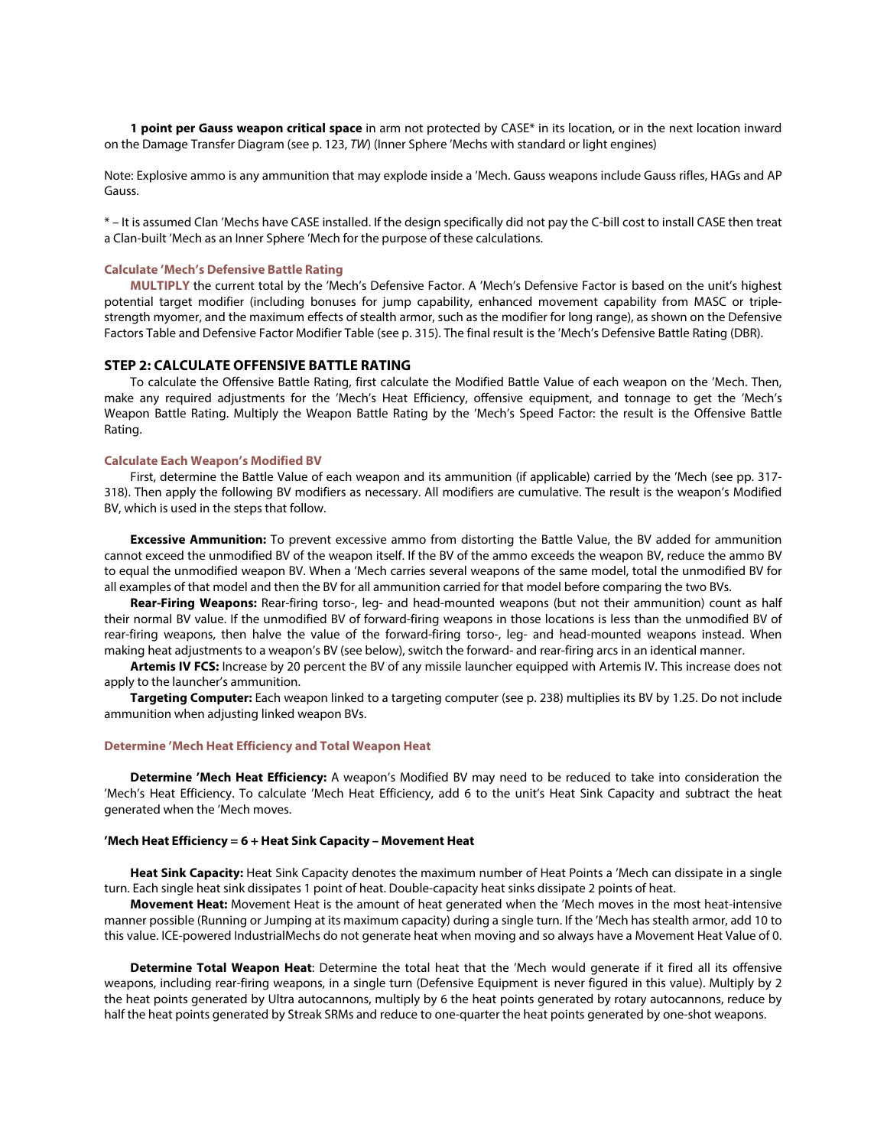**1 point per Gauss weapon critical space** in arm not protected by CASE\* in its location, or in the next location inward on the Damage Transfer Diagram (see p. 123, *TW*) (Inner Sphere 'Mechs with standard or light engines)

Note: Explosive ammo is any ammunition that may explode inside a 'Mech. Gauss weapons include Gauss rifles, HAGs and AP Gauss.

\* – It is assumed Clan 'Mechs have CASE installed. If the design specifically did not pay the C-bill cost to install CASE then treat a Clan-built 'Mech as an Inner Sphere 'Mech for the purpose of these calculations.

#### **Calculate 'Mech's Defensive Battle Rating**

**MULTIPLY** the current total by the 'Mech's Defensive Factor. A 'Mech's Defensive Factor is based on the unit's highest potential target modifier (including bonuses for jump capability, enhanced movement capability from MASC or triplestrength myomer, and the maximum effects of stealth armor, such as the modifier for long range), as shown on the Defensive Factors Table and Defensive Factor Modifier Table (see p. 315). The final result is the 'Mech's Defensive Battle Rating (DBR).

## **STEP 2: CALCULATE OFFENSIVE BATTLE RATING**

To calculate the Offensive Battle Rating, first calculate the Modified Battle Value of each weapon on the 'Mech. Then, make any required adjustments for the 'Mech's Heat Efficiency, offensive equipment, and tonnage to get the 'Mech's Weapon Battle Rating. Multiply the Weapon Battle Rating by the 'Mech's Speed Factor: the result is the Offensive Battle Rating.

#### **Calculate Each Weapon's Modified BV**

First, determine the Battle Value of each weapon and its ammunition (if applicable) carried by the 'Mech (see pp. 317- 318). Then apply the following BV modifiers as necessary. All modifiers are cumulative. The result is the weapon's Modified BV, which is used in the steps that follow.

**Excessive Ammunition:** To prevent excessive ammo from distorting the Battle Value, the BV added for ammunition cannot exceed the unmodified BV of the weapon itself. If the BV of the ammo exceeds the weapon BV, reduce the ammo BV to equal the unmodified weapon BV. When a 'Mech carries several weapons of the same model, total the unmodified BV for all examples of that model and then the BV for all ammunition carried for that model before comparing the two BVs.

**Rear-Firing Weapons:** Rear-firing torso-, leg- and head-mounted weapons (but not their ammunition) count as half their normal BV value. If the unmodified BV of forward-firing weapons in those locations is less than the unmodified BV of rear-firing weapons, then halve the value of the forward-firing torso-, leg- and head-mounted weapons instead. When making heat adjustments to a weapon's BV (see below), switch the forward- and rear-firing arcs in an identical manner.

**Artemis IV FCS:** Increase by 20 percent the BV of any missile launcher equipped with Artemis IV. This increase does not apply to the launcher's ammunition.

**Targeting Computer:** Each weapon linked to a targeting computer (see p. 238) multiplies its BV by 1.25. Do not include ammunition when adjusting linked weapon BVs.

#### **Determine 'Mech Heat Efficiency and Total Weapon Heat**

**Determine 'Mech Heat Efficiency:** A weapon's Modified BV may need to be reduced to take into consideration the 'Mech's Heat Efficiency. To calculate 'Mech Heat Efficiency, add 6 to the unit's Heat Sink Capacity and subtract the heat generated when the 'Mech moves.

#### **'Mech Heat Efficiency = 6 + Heat Sink Capacity – Movement Heat**

**Heat Sink Capacity:** Heat Sink Capacity denotes the maximum number of Heat Points a 'Mech can dissipate in a single turn. Each single heat sink dissipates 1 point of heat. Double-capacity heat sinks dissipate 2 points of heat.

**Movement Heat:** Movement Heat is the amount of heat generated when the 'Mech moves in the most heat-intensive manner possible (Running or Jumping at its maximum capacity) during a single turn. If the 'Mech has stealth armor, add 10 to this value. ICE-powered IndustrialMechs do not generate heat when moving and so always have a Movement Heat Value of 0.

**Determine Total Weapon Heat**: Determine the total heat that the 'Mech would generate if it fired all its offensive weapons, including rear-firing weapons, in a single turn (Defensive Equipment is never figured in this value). Multiply by 2 the heat points generated by Ultra autocannons, multiply by 6 the heat points generated by rotary autocannons, reduce by half the heat points generated by Streak SRMs and reduce to one-quarter the heat points generated by one-shot weapons.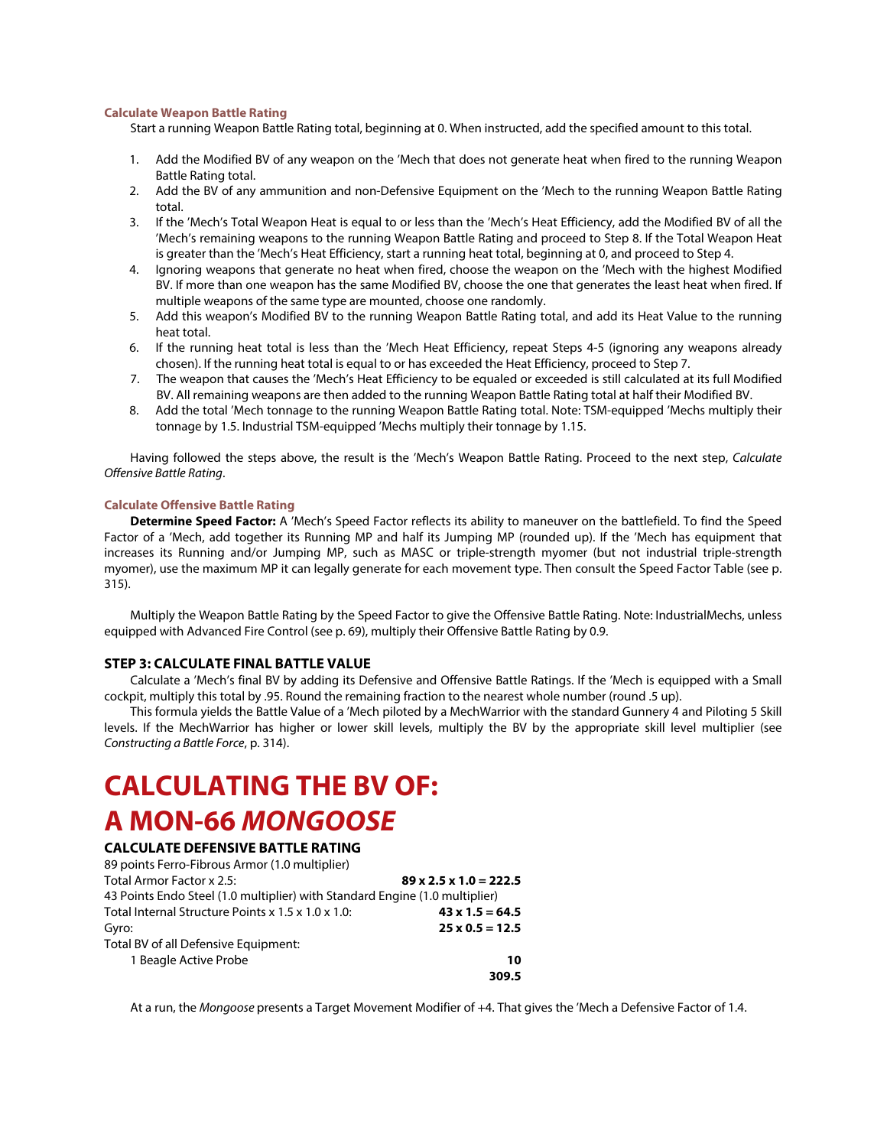#### **Calculate Weapon Battle Rating**

Start a running Weapon Battle Rating total, beginning at 0. When instructed, add the specified amount to this total.

- 1. Add the Modified BV of any weapon on the 'Mech that does not generate heat when fired to the running Weapon Battle Rating total.
- 2. Add the BV of any ammunition and non-Defensive Equipment on the 'Mech to the running Weapon Battle Rating total.
- 3. If the 'Mech's Total Weapon Heat is equal to or less than the 'Mech's Heat Efficiency, add the Modified BV of all the 'Mech's remaining weapons to the running Weapon Battle Rating and proceed to Step 8. If the Total Weapon Heat is greater than the 'Mech's Heat Efficiency, start a running heat total, beginning at 0, and proceed to Step 4.
- 4. Ignoring weapons that generate no heat when fired, choose the weapon on the 'Mech with the highest Modified BV. If more than one weapon has the same Modified BV, choose the one that generates the least heat when fired. If multiple weapons of the same type are mounted, choose one randomly.
- 5. Add this weapon's Modified BV to the running Weapon Battle Rating total, and add its Heat Value to the running heat total.
- 6. If the running heat total is less than the 'Mech Heat Efficiency, repeat Steps 4-5 (ignoring any weapons already chosen). If the running heat total is equal to or has exceeded the Heat Efficiency, proceed to Step 7.
- 7. The weapon that causes the 'Mech's Heat Efficiency to be equaled or exceeded is still calculated at its full Modified BV. All remaining weapons are then added to the running Weapon Battle Rating total at half their Modified BV.
- 8. Add the total 'Mech tonnage to the running Weapon Battle Rating total. Note: TSM-equipped 'Mechs multiply their tonnage by 1.5. Industrial TSM-equipped 'Mechs multiply their tonnage by 1.15.

Having followed the steps above, the result is the 'Mech's Weapon Battle Rating. Proceed to the next step, *Calculate Offensive Battle Rating*.

## **Calculate Offensive Battle Rating**

**Determine Speed Factor:** A 'Mech's Speed Factor reflects its ability to maneuver on the battlefield. To find the Speed Factor of a 'Mech, add together its Running MP and half its Jumping MP (rounded up). If the 'Mech has equipment that increases its Running and/or Jumping MP, such as MASC or triple-strength myomer (but not industrial triple-strength myomer), use the maximum MP it can legally generate for each movement type. Then consult the Speed Factor Table (see p. 315).

Multiply the Weapon Battle Rating by the Speed Factor to give the Offensive Battle Rating. Note: IndustrialMechs, unless equipped with Advanced Fire Control (see p. 69), multiply their Offensive Battle Rating by 0.9.

## **STEP 3: CALCULATE FINAL BATTLE VALUE**

Calculate a 'Mech's final BV by adding its Defensive and Offensive Battle Ratings. If the 'Mech is equipped with a Small cockpit, multiply this total by .95. Round the remaining fraction to the nearest whole number (round .5 up).

This formula yields the Battle Value of a 'Mech piloted by a MechWarrior with the standard Gunnery 4 and Piloting 5 Skill levels. If the MechWarrior has higher or lower skill levels, multiply the BV by the appropriate skill level multiplier (see *Constructing a Battle Force*, p. 314).

# **CALCULATING THE BV OF: A MON-66** *MONGOOSE*

## **CALCULATE DEFENSIVE BATTLE RATING**

| 89 points Ferro-Fibrous Armor (1.0 multiplier)                              |                                    |
|-----------------------------------------------------------------------------|------------------------------------|
| Total Armor Factor x 2.5:                                                   | $89 \times 2.5 \times 1.0 = 222.5$ |
| 43 Points Endo Steel (1.0 multiplier) with Standard Engine (1.0 multiplier) |                                    |
| Total Internal Structure Points x 1.5 x 1.0 x 1.0:                          | $43 \times 1.5 = 64.5$             |
| Gyro:                                                                       | $25 \times 0.5 = 12.5$             |
| Total BV of all Defensive Equipment:                                        |                                    |
| 1 Beagle Active Probe                                                       | 10                                 |
|                                                                             | 309.5                              |

At a run, the *Mongoose* presents a Target Movement Modifier of +4. That gives the 'Mech a Defensive Factor of 1.4.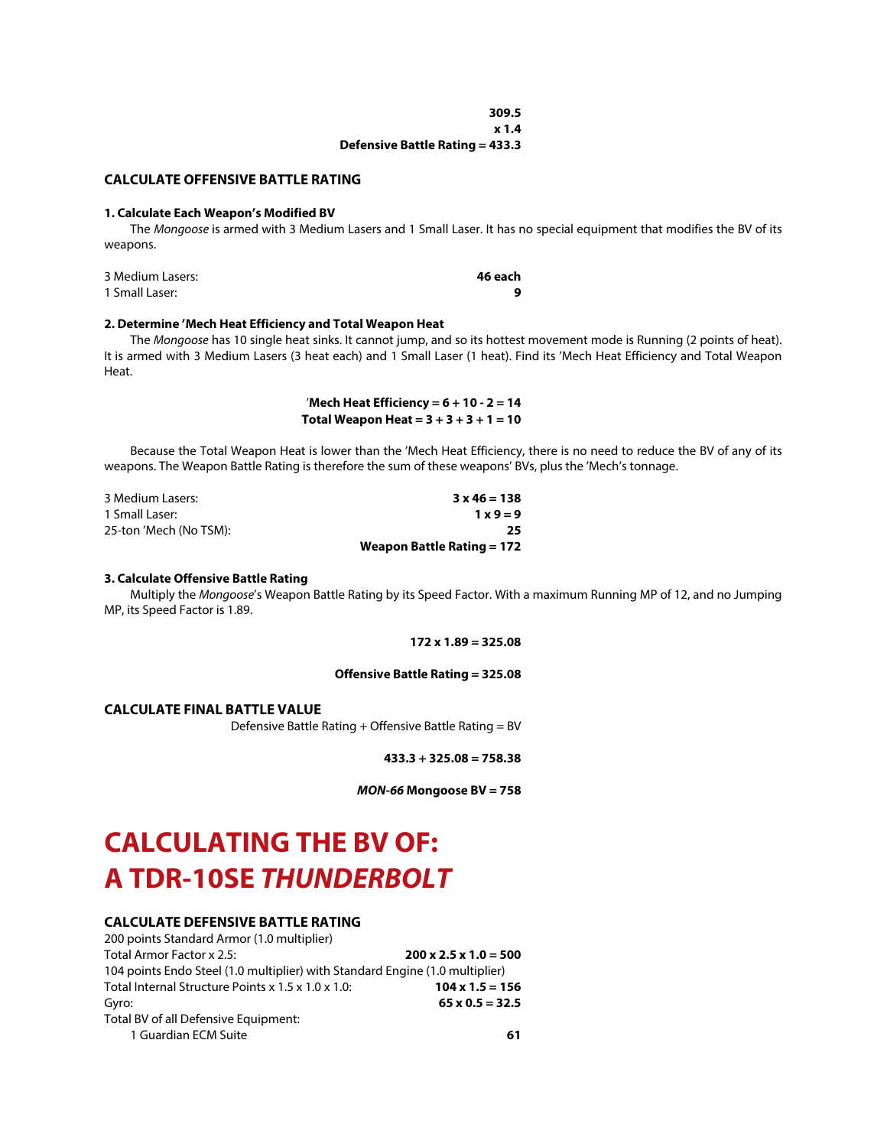| 309.5                                  |  |
|----------------------------------------|--|
| x1.4                                   |  |
| <b>Defensive Battle Rating = 433.3</b> |  |

### **CALCULATE OFFENSIVE BATTLE RATING**

#### **1. Calculate Each Weapon's Modified BV**

The *Mongoose* is armed with 3 Medium Lasers and 1 Small Laser. It has no special equipment that modifies the BV of its weapons.

| 3 Medium Lasers: | 46 each |
|------------------|---------|
| 1 Small Laser:   |         |

#### **2. Determine 'Mech Heat Efficiency and Total Weapon Heat**

The *Mongoose* has 10 single heat sinks. It cannot jump, and so its hottest movement mode is Running (2 points of heat). It is armed with 3 Medium Lasers (3 heat each) and 1 Small Laser (1 heat). Find its 'Mech Heat Efficiency and Total Weapon Heat.

> '**Mech Heat Efficiency = 6 + 10 - 2 = 14 Total Weapon Heat = 3 + 3 + 3 + 1 = 10**

Because the Total Weapon Heat is lower than the 'Mech Heat Efficiency, there is no need to reduce the BV of any of its weapons. The Weapon Battle Rating is therefore the sum of these weapons' BVs, plus the 'Mech's tonnage.

| 3 Medium Lasers:       | $3 \times 46 = 138$          |
|------------------------|------------------------------|
| 1 Small Laser:         | $1 \times 9 = 9$             |
| 25-ton 'Mech (No TSM): | 25                           |
|                        | Weapon Battle Rating $= 172$ |

#### **3. Calculate Offensive Battle Rating**

Multiply the *Mongoose*'s Weapon Battle Rating by its Speed Factor. With a maximum Running MP of 12, and no Jumping MP, its Speed Factor is 1.89.

#### **172 x 1.89 = 325.08**

#### **Offensive Battle Rating = 325.08**

## **CALCULATE FINAL BATTLE VALUE**

Defensive Battle Rating + Offensive Battle Rating = BV

**433.3 + 325.08 = 758.38**

*MON-66* **Mongoose BV = 758**

# **CALCULATING THE BV OF: A TDR-10SE** *THUNDERBOLT*

## **CALCULATE DEFENSIVE BATTLE RATING**

| 200 points Standard Armor (1.0 multiplier)                                   |                                   |
|------------------------------------------------------------------------------|-----------------------------------|
| Total Armor Factor x 2.5:                                                    | $200 \times 2.5 \times 1.0 = 500$ |
| 104 points Endo Steel (1.0 multiplier) with Standard Engine (1.0 multiplier) |                                   |
| Total Internal Structure Points x 1.5 x 1.0 x 1.0:                           | $104 \times 1.5 = 156$            |
| Gyro:                                                                        | $65 \times 0.5 = 32.5$            |
| Total BV of all Defensive Equipment:                                         |                                   |
| 1 Guardian ECM Suite                                                         | 61                                |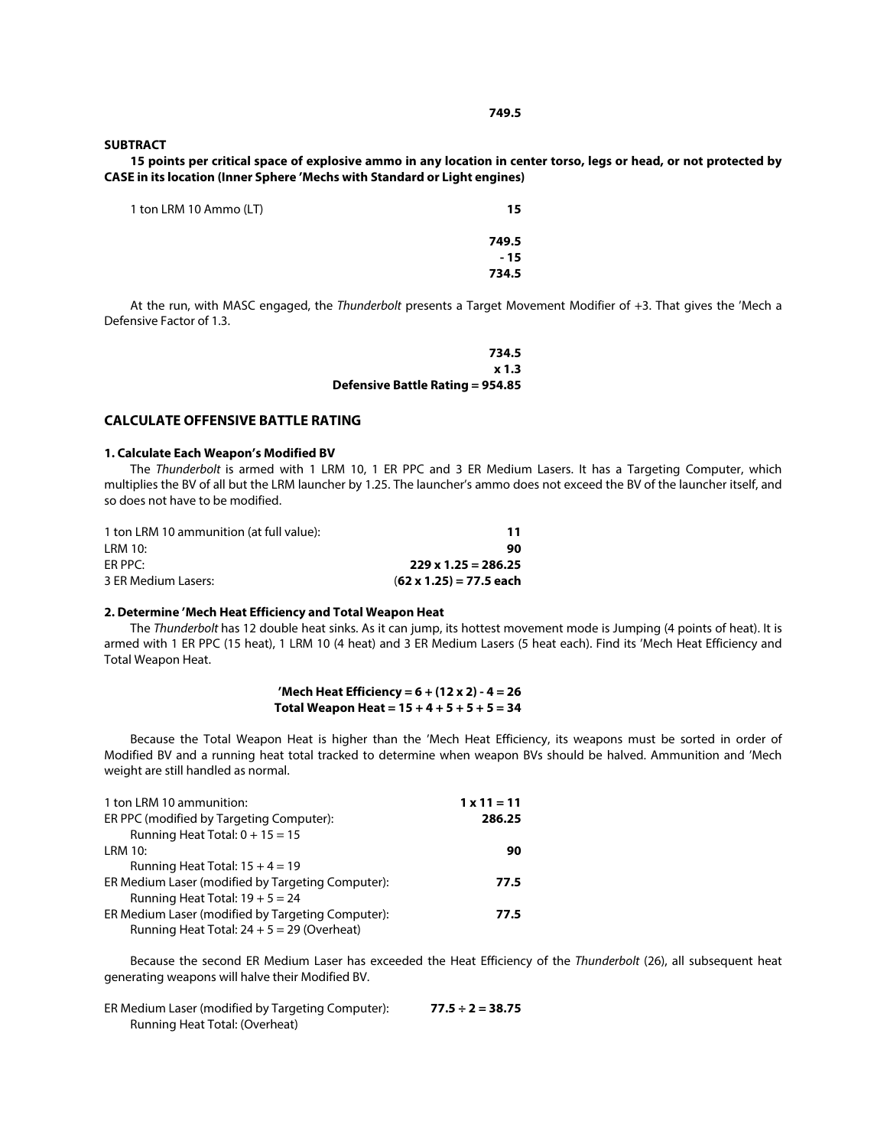#### **SUBTRACT**

**15 points per critical space of explosive ammo in any location in center torso, legs or head, or not protected by CASE in its location (Inner Sphere 'Mechs with Standard or Light engines)**

| 1 ton LRM 10 Ammo (LT) | 15    |
|------------------------|-------|
|                        | 749.5 |
|                        | $-15$ |
|                        | 734.5 |

At the run, with MASC engaged, the *Thunderbolt* presents a Target Movement Modifier of +3. That gives the 'Mech a Defensive Factor of 1.3.

| 734.5                                   |  |
|-----------------------------------------|--|
| x <sub>1.3</sub>                        |  |
| <b>Defensive Battle Rating = 954.85</b> |  |

## **CALCULATE OFFENSIVE BATTLE RATING**

#### **1. Calculate Each Weapon's Modified BV**

The *Thunderbolt* is armed with 1 LRM 10, 1 ER PPC and 3 ER Medium Lasers. It has a Targeting Computer, which multiplies the BV of all but the LRM launcher by 1.25. The launcher's ammo does not exceed the BV of the launcher itself, and so does not have to be modified.

| 1 ton LRM 10 ammunition (at full value): | 11                             |
|------------------------------------------|--------------------------------|
| LRM 10:                                  | 90                             |
| $FR$ PPC:                                | $229 \times 1.25 = 286.25$     |
| 3 ER Medium Lasers:                      | $(62 \times 1.25) = 77.5$ each |

## **2. Determine 'Mech Heat Efficiency and Total Weapon Heat**

The *Thunderbolt* has 12 double heat sinks. As it can jump, its hottest movement mode is Jumping (4 points of heat). It is armed with 1 ER PPC (15 heat), 1 LRM 10 (4 heat) and 3 ER Medium Lasers (5 heat each). Find its 'Mech Heat Efficiency and Total Weapon Heat.

## **'Mech Heat Efficiency = 6 + (12 x 2) - 4 = 26 Total Weapon Heat = 15 + 4 + 5 + 5 + 5 = 34**

Because the Total Weapon Heat is higher than the 'Mech Heat Efficiency, its weapons must be sorted in order of Modified BV and a running heat total tracked to determine when weapon BVs should be halved. Ammunition and 'Mech weight are still handled as normal.

| 1 ton LRM 10 ammunition:                          | $1 \times 11 = 11$ |
|---------------------------------------------------|--------------------|
| ER PPC (modified by Targeting Computer):          | 286.25             |
| Running Heat Total: $0 + 15 = 15$                 |                    |
| LRM 10:                                           | 90                 |
| Running Heat Total: $15 + 4 = 19$                 |                    |
| ER Medium Laser (modified by Targeting Computer): | 77.5               |
| Running Heat Total: $19 + 5 = 24$                 |                    |
| ER Medium Laser (modified by Targeting Computer): | 77.5               |
| Running Heat Total: $24 + 5 = 29$ (Overheat)      |                    |

Because the second ER Medium Laser has exceeded the Heat Efficiency of the *Thunderbolt* (26), all subsequent heat generating weapons will halve their Modified BV.

| ER Medium Laser (modified by Targeting Computer): | $77.5 \div 2 = 38.75$ |
|---------------------------------------------------|-----------------------|
| Running Heat Total: (Overheat)                    |                       |

### **749.5**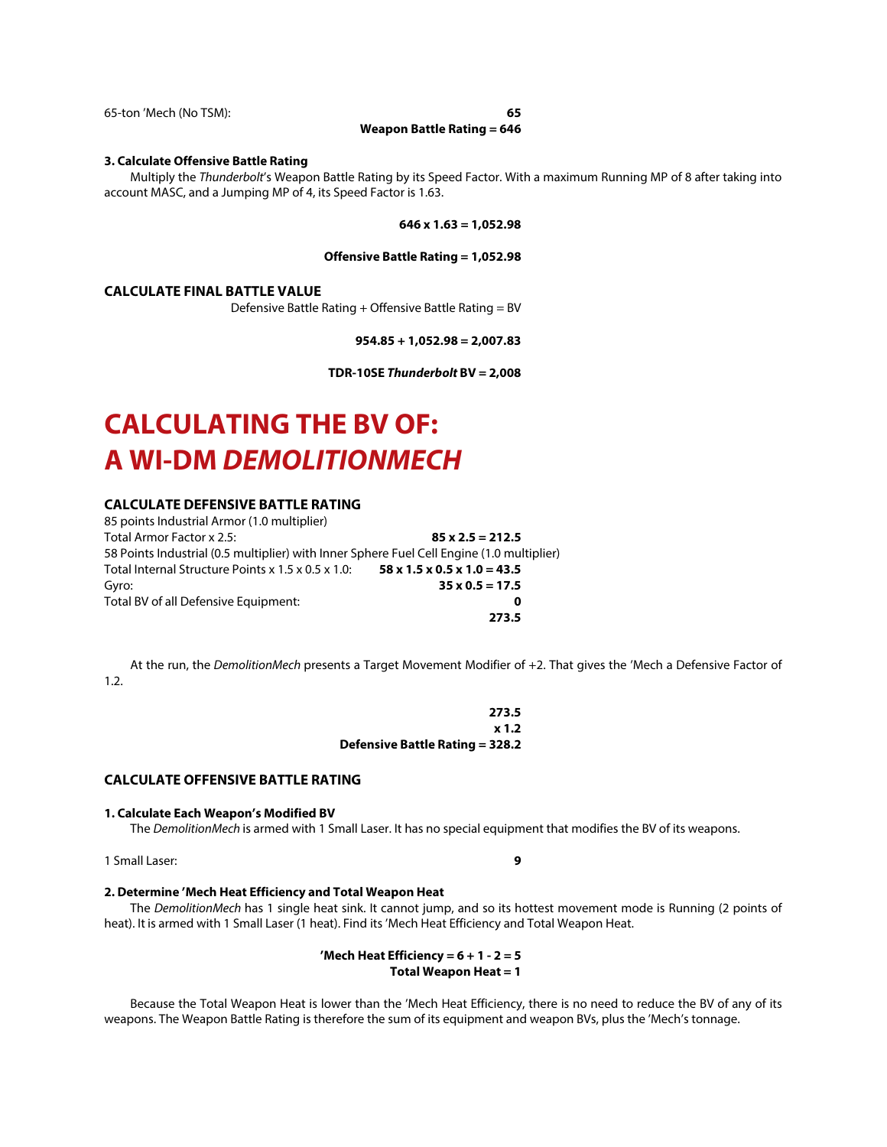65-ton 'Mech (No TSM): **65**

**Weapon Battle Rating = 646**

#### **3. Calculate Offensive Battle Rating**

Multiply the *Thunderbolt*'s Weapon Battle Rating by its Speed Factor. With a maximum Running MP of 8 after taking into account MASC, and a Jumping MP of 4, its Speed Factor is 1.63.

#### **646 x 1.63 = 1,052.98**

### **Offensive Battle Rating = 1,052.98**

### **CALCULATE FINAL BATTLE VALUE**

Defensive Battle Rating + Offensive Battle Rating = BV

**954.85 + 1,052.98 = 2,007.83**

**TDR-10SE** *Thunderbolt* **BV = 2,008**

# **CALCULATING THE BV OF: A WI-DM** *DEMOLITIONMECH*

## **CALCULATE DEFENSIVE BATTLE RATING**

| 85 points Industrial Armor (1.0 multiplier)                                               |                                              |
|-------------------------------------------------------------------------------------------|----------------------------------------------|
| Total Armor Factor x 2.5:                                                                 | $85 \times 2.5 = 212.5$                      |
| 58 Points Industrial (0.5 multiplier) with Inner Sphere Fuel Cell Engine (1.0 multiplier) |                                              |
| Total Internal Structure Points x 1.5 x 0.5 x 1.0:                                        | $58 \times 1.5 \times 0.5 \times 1.0 = 43.5$ |
| Gyro:                                                                                     | $35 \times 0.5 = 17.5$                       |
| Total BV of all Defensive Equipment:                                                      | 0                                            |
|                                                                                           | 273.5                                        |

At the run, the *DemolitionMech* presents a Target Movement Modifier of +2. That gives the 'Mech a Defensive Factor of 1.2.

| 273.5                           |  |
|---------------------------------|--|
| x 1.2                           |  |
| Defensive Battle Rating = 328.2 |  |

## **CALCULATE OFFENSIVE BATTLE RATING**

#### **1. Calculate Each Weapon's Modified BV**

The *DemolitionMech* is armed with 1 Small Laser. It has no special equipment that modifies the BV of its weapons.

1 Small Laser: **9**

## **2. Determine 'Mech Heat Efficiency and Total Weapon Heat**

The *DemolitionMech* has 1 single heat sink. It cannot jump, and so its hottest movement mode is Running (2 points of heat). It is armed with 1 Small Laser (1 heat). Find its 'Mech Heat Efficiency and Total Weapon Heat.

> **'Mech Heat Efficiency = 6 + 1 - 2 = 5 Total Weapon Heat = 1**

Because the Total Weapon Heat is lower than the 'Mech Heat Efficiency, there is no need to reduce the BV of any of its weapons. The Weapon Battle Rating is therefore the sum of its equipment and weapon BVs, plus the 'Mech's tonnage.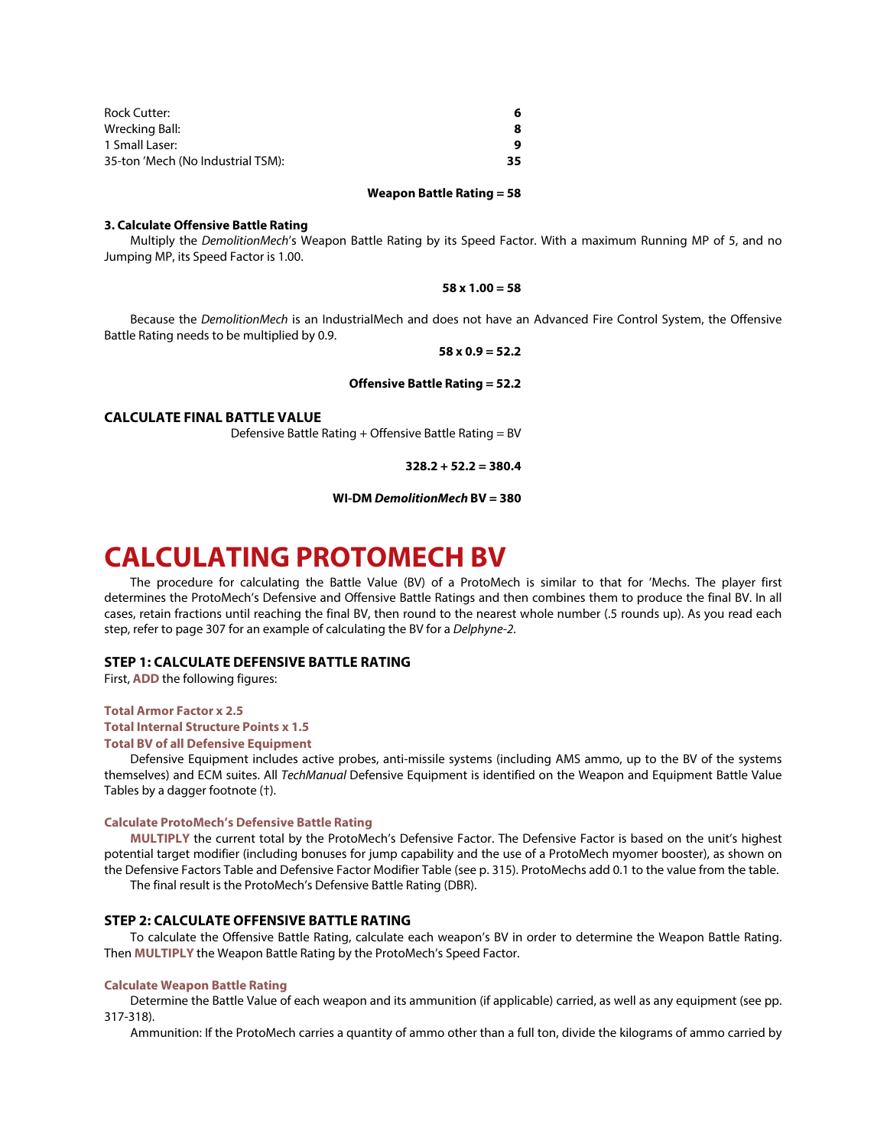| Rock Cutter:                      | 6   |
|-----------------------------------|-----|
| Wrecking Ball:                    | 8   |
| 1 Small Laser:                    | q   |
| 35-ton 'Mech (No Industrial TSM): | 35. |

#### **Weapon Battle Rating = 58**

#### **3. Calculate Offensive Battle Rating**

Multiply the *DemolitionMech*'s Weapon Battle Rating by its Speed Factor. With a maximum Running MP of 5, and no Jumping MP, its Speed Factor is 1.00.

### **58 x 1.00 = 58**

Because the *DemolitionMech* is an IndustrialMech and does not have an Advanced Fire Control System, the Offensive Battle Rating needs to be multiplied by 0.9.

#### **58 x 0.9 = 52.2**

#### **Offensive Battle Rating = 52.2**

#### **CALCULATE FINAL BATTLE VALUE**

Defensive Battle Rating + Offensive Battle Rating = BV

**328.2 + 52.2 = 380.4**

**WI-DM** *DemolitionMech* **BV = 380**

## **CALCULATING PROTOMECH BV**

The procedure for calculating the Battle Value (BV) of a ProtoMech is similar to that for 'Mechs. The player first determines the ProtoMech's Defensive and Offensive Battle Ratings and then combines them to produce the final BV. In all cases, retain fractions until reaching the final BV, then round to the nearest whole number (.5 rounds up). As you read each step, refer to page 307 for an example of calculating the BV for a *Delphyne-2*.

## **STEP 1: CALCULATE DEFENSIVE BATTLE RATING**

First, **ADD** the following figures:

## **Total Armor Factor x 2.5**

## **Total Internal Structure Points x 1.5**

#### **Total BV of all Defensive Equipment**

Defensive Equipment includes active probes, anti-missile systems (including AMS ammo, up to the BV of the systems themselves) and ECM suites. All *TechManual* Defensive Equipment is identified on the Weapon and Equipment Battle Value Tables by a dagger footnote (†).

#### **Calculate ProtoMech's Defensive Battle Rating**

**MULTIPLY** the current total by the ProtoMech's Defensive Factor. The Defensive Factor is based on the unit's highest potential target modifier (including bonuses for jump capability and the use of a ProtoMech myomer booster), as shown on the Defensive Factors Table and Defensive Factor Modifier Table (see p. 315). ProtoMechs add 0.1 to the value from the table. The final result is the ProtoMech's Defensive Battle Rating (DBR).

#### **STEP 2: CALCULATE OFFENSIVE BATTLE RATING**

To calculate the Offensive Battle Rating, calculate each weapon's BV in order to determine the Weapon Battle Rating. Then **MULTIPLY** the Weapon Battle Rating by the ProtoMech's Speed Factor.

#### **Calculate Weapon Battle Rating**

Determine the Battle Value of each weapon and its ammunition (if applicable) carried, as well as any equipment (see pp. 317-318).

Ammunition: If the ProtoMech carries a quantity of ammo other than a full ton, divide the kilograms of ammo carried by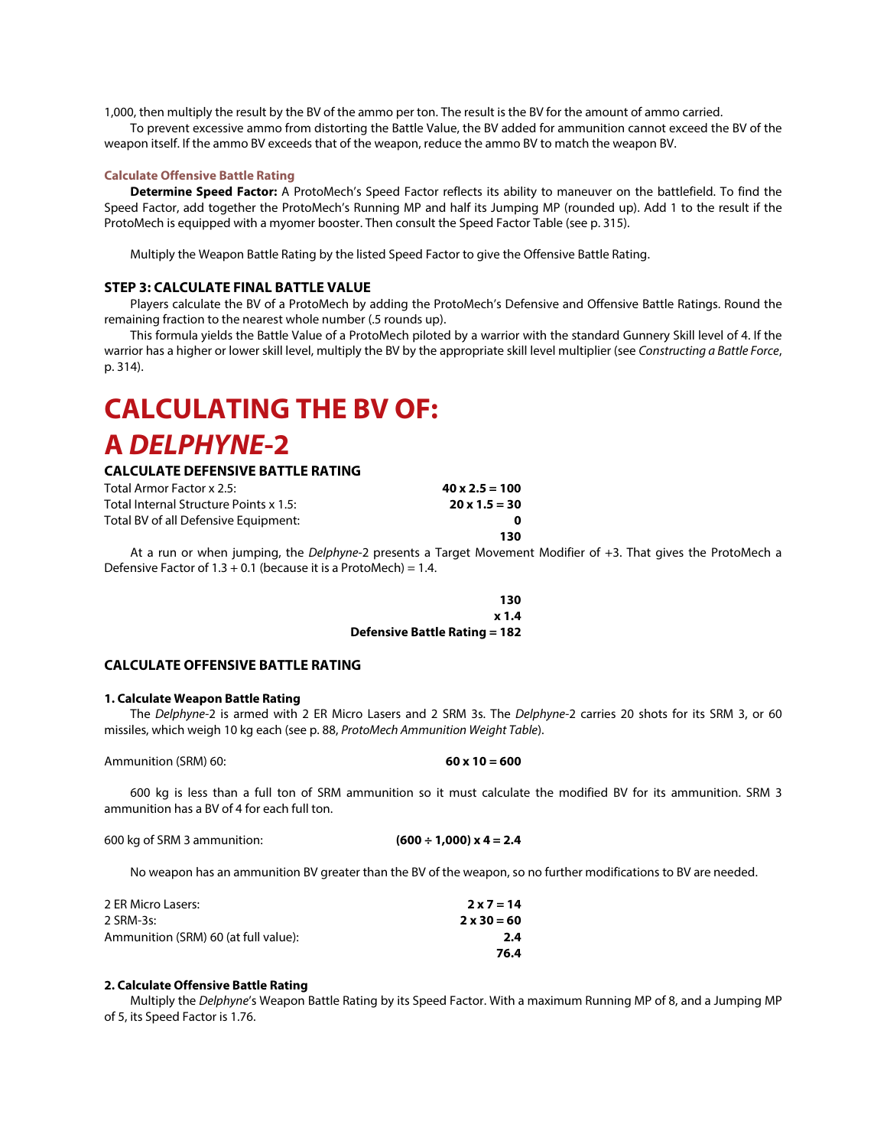1,000, then multiply the result by the BV of the ammo per ton. The result is the BV for the amount of ammo carried.

To prevent excessive ammo from distorting the Battle Value, the BV added for ammunition cannot exceed the BV of the weapon itself. If the ammo BV exceeds that of the weapon, reduce the ammo BV to match the weapon BV.

## **Calculate Offensive Battle Rating**

**Determine Speed Factor:** A ProtoMech's Speed Factor reflects its ability to maneuver on the battlefield. To find the Speed Factor, add together the ProtoMech's Running MP and half its Jumping MP (rounded up). Add 1 to the result if the ProtoMech is equipped with a myomer booster. Then consult the Speed Factor Table (see p. 315).

Multiply the Weapon Battle Rating by the listed Speed Factor to give the Offensive Battle Rating.

## **STEP 3: CALCULATE FINAL BATTLE VALUE**

Players calculate the BV of a ProtoMech by adding the ProtoMech's Defensive and Offensive Battle Ratings. Round the remaining fraction to the nearest whole number (.5 rounds up).

This formula yields the Battle Value of a ProtoMech piloted by a warrior with the standard Gunnery Skill level of 4. If the warrior has a higher or lower skill level, multiply the BV by the appropriate skill level multiplier (see *Constructing a Battle Force*, p. 314).

## **CALCULATING THE BV OF: A** *DELPHYNE***-2**

## **CALCULATE DEFENSIVE BATTLE RATING**

| Total Armor Factor x 2.5:              | $40 \times 2.5 = 100$ |
|----------------------------------------|-----------------------|
| Total Internal Structure Points x 1.5: | $20 \times 1.5 = 30$  |
| Total BV of all Defensive Equipment:   |                       |
|                                        | 130                   |

At a run or when jumping, the *Delphyne*-2 presents a Target Movement Modifier of +3. That gives the ProtoMech a Defensive Factor of  $1.3 + 0.1$  (because it is a ProtoMech) = 1.4.

> **130 x 1.4 Defensive Battle Rating = 182**

## **CALCULATE OFFENSIVE BATTLE RATING**

#### **1. Calculate Weapon Battle Rating**

The *Delphyne-*2 is armed with 2 ER Micro Lasers and 2 SRM 3s. The *Delphyne-*2 carries 20 shots for its SRM 3, or 60 missiles, which weigh 10 kg each (see p. 88, *ProtoMech Ammunition Weight Table*).

Ammunition (SRM) 60: **60 x 10 = 600**

600 kg is less than a full ton of SRM ammunition so it must calculate the modified BV for its ammunition. SRM 3 ammunition has a BV of 4 for each full ton.

| 600 kg of SRM 3 ammunition: | $(600 \div 1,000) \times 4 = 2.4$ |
|-----------------------------|-----------------------------------|
|-----------------------------|-----------------------------------|

No weapon has an ammunition BV greater than the BV of the weapon, so no further modifications to BV are needed.

| 2 ER Micro Lasers:                   | $2 \times 7 = 14$  |
|--------------------------------------|--------------------|
| 2 SRM-3s:                            | $2 \times 30 = 60$ |
| Ammunition (SRM) 60 (at full value): | 2.4                |
|                                      | 76.4               |

#### **2. Calculate Offensive Battle Rating**

Multiply the *Delphyne*'s Weapon Battle Rating by its Speed Factor. With a maximum Running MP of 8, and a Jumping MP of 5, its Speed Factor is 1.76.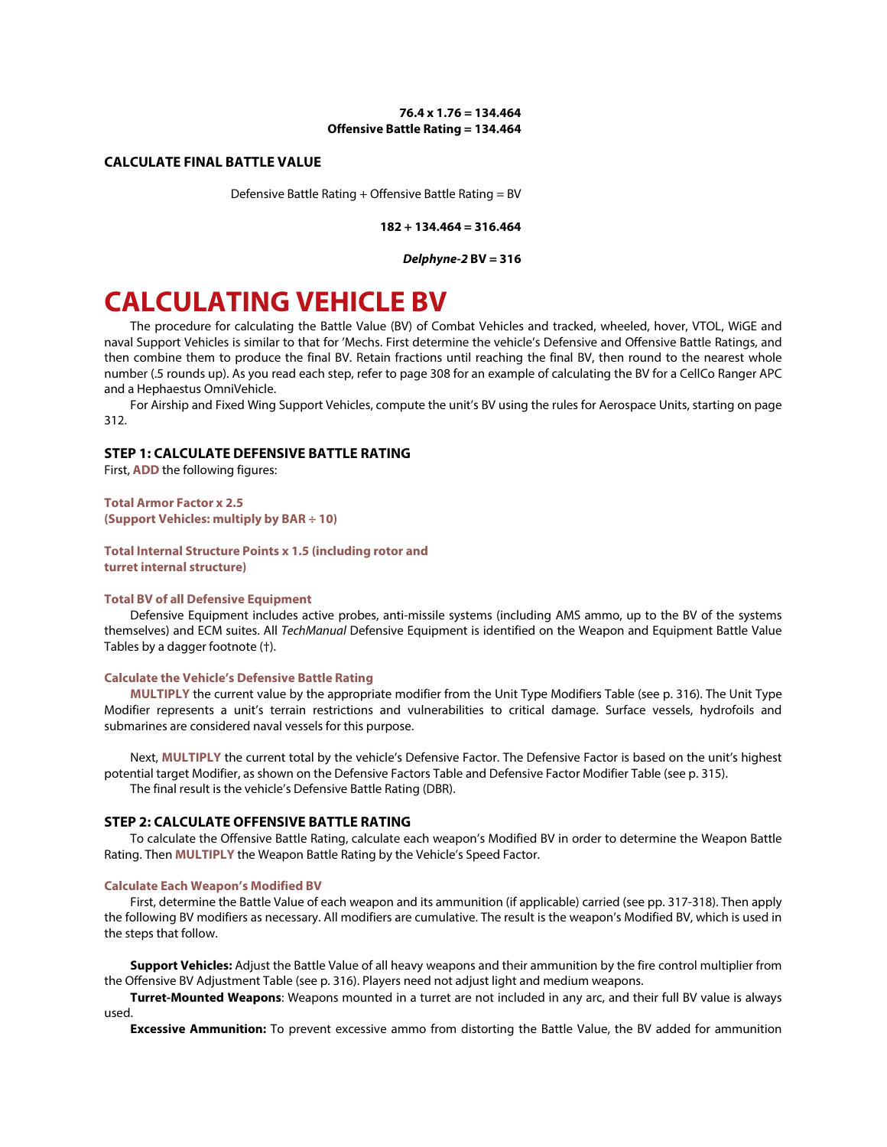## **76.4 x 1.76 = 134.464 Offensive Battle Rating = 134.464**

## **CALCULATE FINAL BATTLE VALUE**

Defensive Battle Rating + Offensive Battle Rating = BV

**182 + 134.464 = 316.464**

*Delphyne-2* **BV = 316**

## **CALCULATING VEHICLE BV**

The procedure for calculating the Battle Value (BV) of Combat Vehicles and tracked, wheeled, hover, VTOL, WiGE and naval Support Vehicles is similar to that for 'Mechs. First determine the vehicle's Defensive and Offensive Battle Ratings, and then combine them to produce the final BV. Retain fractions until reaching the final BV, then round to the nearest whole number (.5 rounds up). As you read each step, refer to page 308 for an example of calculating the BV for a CellCo Ranger APC and a Hephaestus OmniVehicle.

For Airship and Fixed Wing Support Vehicles, compute the unit's BV using the rules for Aerospace Units, starting on page 312.

## **STEP 1: CALCULATE DEFENSIVE BATTLE RATING**

First, **ADD** the following figures:

**Total Armor Factor x 2.5 (Support Vehicles: multiply by BAR ÷ 10)**

**Total Internal Structure Points x 1.5 (including rotor and turret internal structure)**

#### **Total BV of all Defensive Equipment**

Defensive Equipment includes active probes, anti-missile systems (including AMS ammo, up to the BV of the systems themselves) and ECM suites. All *TechManual* Defensive Equipment is identified on the Weapon and Equipment Battle Value Tables by a dagger footnote (†).

#### **Calculate the Vehicle's Defensive Battle Rating**

**MULTIPLY** the current value by the appropriate modifier from the Unit Type Modifiers Table (see p. 316). The Unit Type Modifier represents a unit's terrain restrictions and vulnerabilities to critical damage. Surface vessels, hydrofoils and submarines are considered naval vessels for this purpose.

Next, **MULTIPLY** the current total by the vehicle's Defensive Factor. The Defensive Factor is based on the unit's highest potential target Modifier, as shown on the Defensive Factors Table and Defensive Factor Modifier Table (see p. 315). The final result is the vehicle's Defensive Battle Rating (DBR).

#### **STEP 2: CALCULATE OFFENSIVE BATTLE RATING**

To calculate the Offensive Battle Rating, calculate each weapon's Modified BV in order to determine the Weapon Battle Rating. Then **MULTIPLY** the Weapon Battle Rating by the Vehicle's Speed Factor.

#### **Calculate Each Weapon's Modified BV**

First, determine the Battle Value of each weapon and its ammunition (if applicable) carried (see pp. 317-318). Then apply the following BV modifiers as necessary. All modifiers are cumulative. The result is the weapon's Modified BV, which is used in the steps that follow.

**Support Vehicles:** Adjust the Battle Value of all heavy weapons and their ammunition by the fire control multiplier from the Offensive BV Adjustment Table (see p. 316). Players need not adjust light and medium weapons.

**Turret-Mounted Weapons**: Weapons mounted in a turret are not included in any arc, and their full BV value is always used.

**Excessive Ammunition:** To prevent excessive ammo from distorting the Battle Value, the BV added for ammunition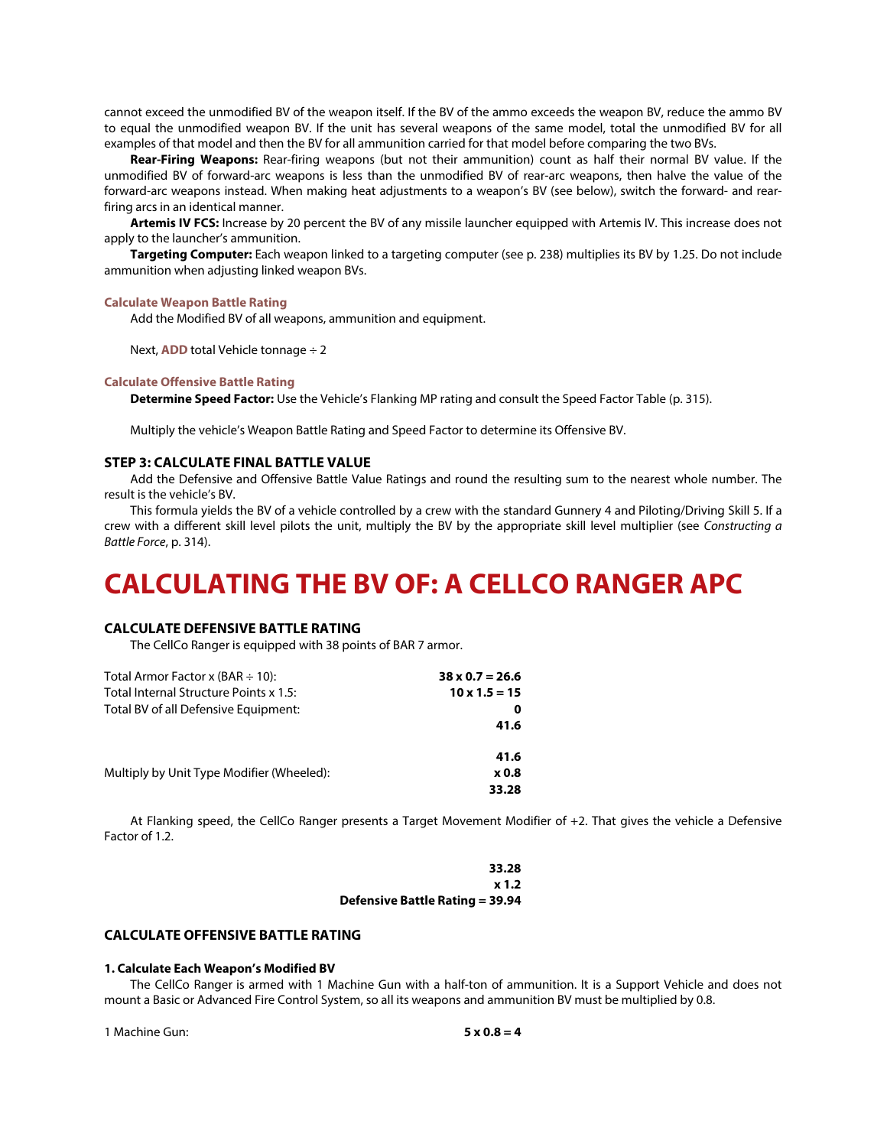cannot exceed the unmodified BV of the weapon itself. If the BV of the ammo exceeds the weapon BV, reduce the ammo BV to equal the unmodified weapon BV. If the unit has several weapons of the same model, total the unmodified BV for all examples of that model and then the BV for all ammunition carried for that model before comparing the two BVs.

**Rear-Firing Weapons:** Rear-firing weapons (but not their ammunition) count as half their normal BV value. If the unmodified BV of forward-arc weapons is less than the unmodified BV of rear-arc weapons, then halve the value of the forward-arc weapons instead. When making heat adjustments to a weapon's BV (see below), switch the forward- and rearfiring arcs in an identical manner.

**Artemis IV FCS:** Increase by 20 percent the BV of any missile launcher equipped with Artemis IV. This increase does not apply to the launcher's ammunition.

**Targeting Computer:** Each weapon linked to a targeting computer (see p. 238) multiplies its BV by 1.25. Do not include ammunition when adjusting linked weapon BVs.

#### **Calculate Weapon Battle Rating**

Add the Modified BV of all weapons, ammunition and equipment.

Next, **ADD** total Vehicle tonnage ÷ 2

## **Calculate Offensive Battle Rating**

**Determine Speed Factor:** Use the Vehicle's Flanking MP rating and consult the Speed Factor Table (p. 315).

Multiply the vehicle's Weapon Battle Rating and Speed Factor to determine its Offensive BV.

## **STEP 3: CALCULATE FINAL BATTLE VALUE**

Add the Defensive and Offensive Battle Value Ratings and round the resulting sum to the nearest whole number. The result is the vehicle's BV.

This formula yields the BV of a vehicle controlled by a crew with the standard Gunnery 4 and Piloting/Driving Skill 5. If a crew with a different skill level pilots the unit, multiply the BV by the appropriate skill level multiplier (see *Constructing a Battle Force*, p. 314).

## **CALCULATING THE BV OF: A CELLCO RANGER APC**

## **CALCULATE DEFENSIVE BATTLE RATING**

The CellCo Ranger is equipped with 38 points of BAR 7 armor.

| Total Armor Factor x (BAR $\div$ 10):     | $38 \times 0.7 = 26.6$ |
|-------------------------------------------|------------------------|
| Total Internal Structure Points x 1.5:    | $10 \times 1.5 = 15$   |
| Total BV of all Defensive Equipment:      | 0                      |
|                                           | 41.6                   |
|                                           | 41.6                   |
| Multiply by Unit Type Modifier (Wheeled): | <b>x0.8</b>            |
|                                           | 33.28                  |

At Flanking speed, the CellCo Ranger presents a Target Movement Modifier of +2. That gives the vehicle a Defensive Factor of 1.2.

| 33.28                                  |  |
|----------------------------------------|--|
| $x$ 1.2                                |  |
| <b>Defensive Battle Rating = 39.94</b> |  |

## **CALCULATE OFFENSIVE BATTLE RATING**

#### **1. Calculate Each Weapon's Modified BV**

The CellCo Ranger is armed with 1 Machine Gun with a half-ton of ammunition. It is a Support Vehicle and does not mount a Basic or Advanced Fire Control System, so all its weapons and ammunition BV must be multiplied by 0.8.

1 Machine Gun: **5 x 0.8 = 4**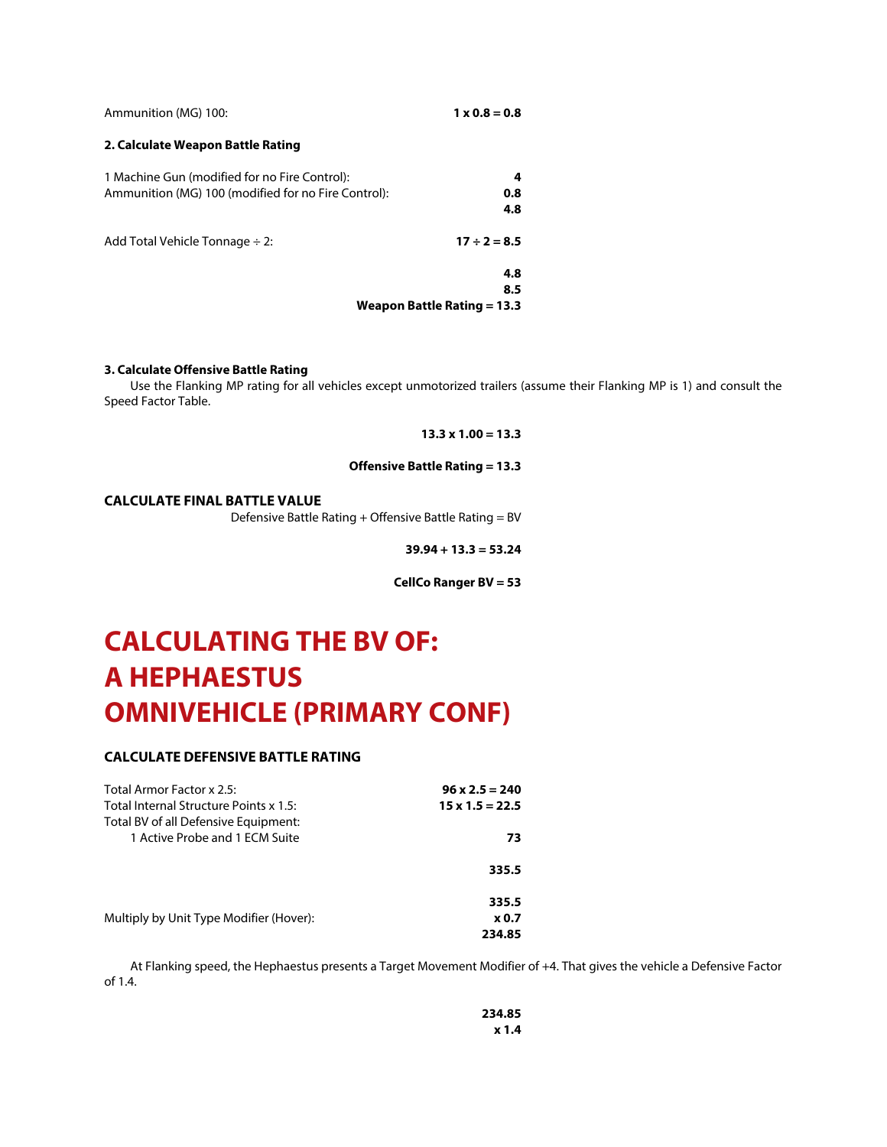| Ammunition (MG) 100:                                                                                 | $1 \times 0.8 = 0.8$          |
|------------------------------------------------------------------------------------------------------|-------------------------------|
| 2. Calculate Weapon Battle Rating                                                                    |                               |
| 1 Machine Gun (modified for no Fire Control):<br>Ammunition (MG) 100 (modified for no Fire Control): | 4<br>0.8<br>4.8               |
| Add Total Vehicle Tonnage $\div$ 2:                                                                  | $17 \div 2 = 8.5$             |
|                                                                                                      | 4.8<br>8.5                    |
|                                                                                                      | Weapon Battle Rating $= 13.3$ |

#### **3. Calculate Offensive Battle Rating**

Use the Flanking MP rating for all vehicles except unmotorized trailers (assume their Flanking MP is 1) and consult the Speed Factor Table.

## **13.3 x 1.00 = 13.3**

## **Offensive Battle Rating = 13.3**

## **CALCULATE FINAL BATTLE VALUE**

Defensive Battle Rating + Offensive Battle Rating = BV

**39.94 + 13.3 = 53.24**

**CellCo Ranger BV = 53**

# **CALCULATING THE BV OF: A HEPHAESTUS OMNIVEHICLE (PRIMARY CONF)**

## **CALCULATE DEFENSIVE BATTLE RATING**

| Total Armor Factor x 2.5:               | $96 \times 2.5 = 240$  |
|-----------------------------------------|------------------------|
| Total Internal Structure Points x 1.5:  | $15 \times 1.5 = 22.5$ |
| Total BV of all Defensive Equipment:    |                        |
| 1 Active Probe and 1 ECM Suite          | 73                     |
|                                         | 335.5                  |
|                                         | 335.5                  |
| Multiply by Unit Type Modifier (Hover): | <b>x</b> 0.7           |
|                                         | 234.85                 |

At Flanking speed, the Hephaestus presents a Target Movement Modifier of +4. That gives the vehicle a Defensive Factor of 1.4.

> **234.85 x 1.4**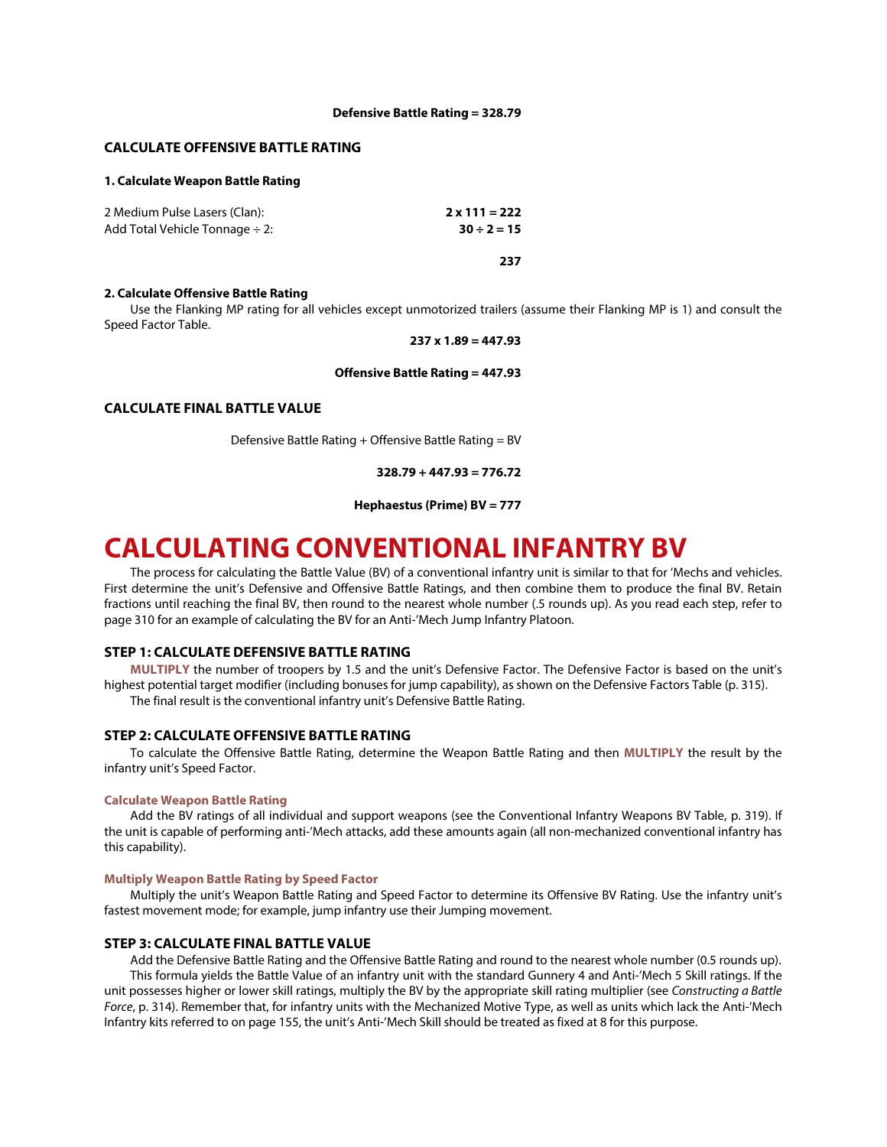#### **Defensive Battle Rating = 328.79**

## **CALCULATE OFFENSIVE BATTLE RATING**

## **1. Calculate Weapon Battle Rating**

| 2 Medium Pulse Lasers (Clan):       | $2 \times 111 = 222$ |
|-------------------------------------|----------------------|
| Add Total Vehicle Tonnage $\div$ 2: | $30 \div 2 = 15$     |
|                                     |                      |

**237**

#### **2. Calculate Offensive Battle Rating**

Use the Flanking MP rating for all vehicles except unmotorized trailers (assume their Flanking MP is 1) and consult the Speed Factor Table.

#### **237 x 1.89 = 447.93**

## **Offensive Battle Rating = 447.93**

## **CALCULATE FINAL BATTLE VALUE**

Defensive Battle Rating + Offensive Battle Rating = BV

**328.79 + 447.93 = 776.72**

**Hephaestus (Prime) BV = 777**

## **CALCULATING CONVENTIONAL INFANTRY BV**

The process for calculating the Battle Value (BV) of a conventional infantry unit is similar to that for 'Mechs and vehicles. First determine the unit's Defensive and Offensive Battle Ratings, and then combine them to produce the final BV. Retain fractions until reaching the final BV, then round to the nearest whole number (.5 rounds up). As you read each step, refer to page 310 for an example of calculating the BV for an Anti-'Mech Jump Infantry Platoon.

## **STEP 1: CALCULATE DEFENSIVE BATTLE RATING**

**MULTIPLY** the number of troopers by 1.5 and the unit's Defensive Factor. The Defensive Factor is based on the unit's highest potential target modifier (including bonuses for jump capability), as shown on the Defensive Factors Table (p. 315). The final result is the conventional infantry unit's Defensive Battle Rating.

## **STEP 2: CALCULATE OFFENSIVE BATTLE RATING**

To calculate the Offensive Battle Rating, determine the Weapon Battle Rating and then **MULTIPLY** the result by the infantry unit's Speed Factor.

#### **Calculate Weapon Battle Rating**

Add the BV ratings of all individual and support weapons (see the Conventional Infantry Weapons BV Table, p. 319). If the unit is capable of performing anti-'Mech attacks, add these amounts again (all non-mechanized conventional infantry has this capability).

#### **Multiply Weapon Battle Rating by Speed Factor**

Multiply the unit's Weapon Battle Rating and Speed Factor to determine its Offensive BV Rating. Use the infantry unit's fastest movement mode; for example, jump infantry use their Jumping movement.

## **STEP 3: CALCULATE FINAL BATTLE VALUE**

Add the Defensive Battle Rating and the Offensive Battle Rating and round to the nearest whole number (0.5 rounds up). This formula yields the Battle Value of an infantry unit with the standard Gunnery 4 and Anti-'Mech 5 Skill ratings. If the unit possesses higher or lower skill ratings, multiply the BV by the appropriate skill rating multiplier (see *Constructing a Battle Force*, p. 314). Remember that, for infantry units with the Mechanized Motive Type, as well as units which lack the Anti-'Mech Infantry kits referred to on page 155, the unit's Anti-'Mech Skill should be treated as fixed at 8 for this purpose.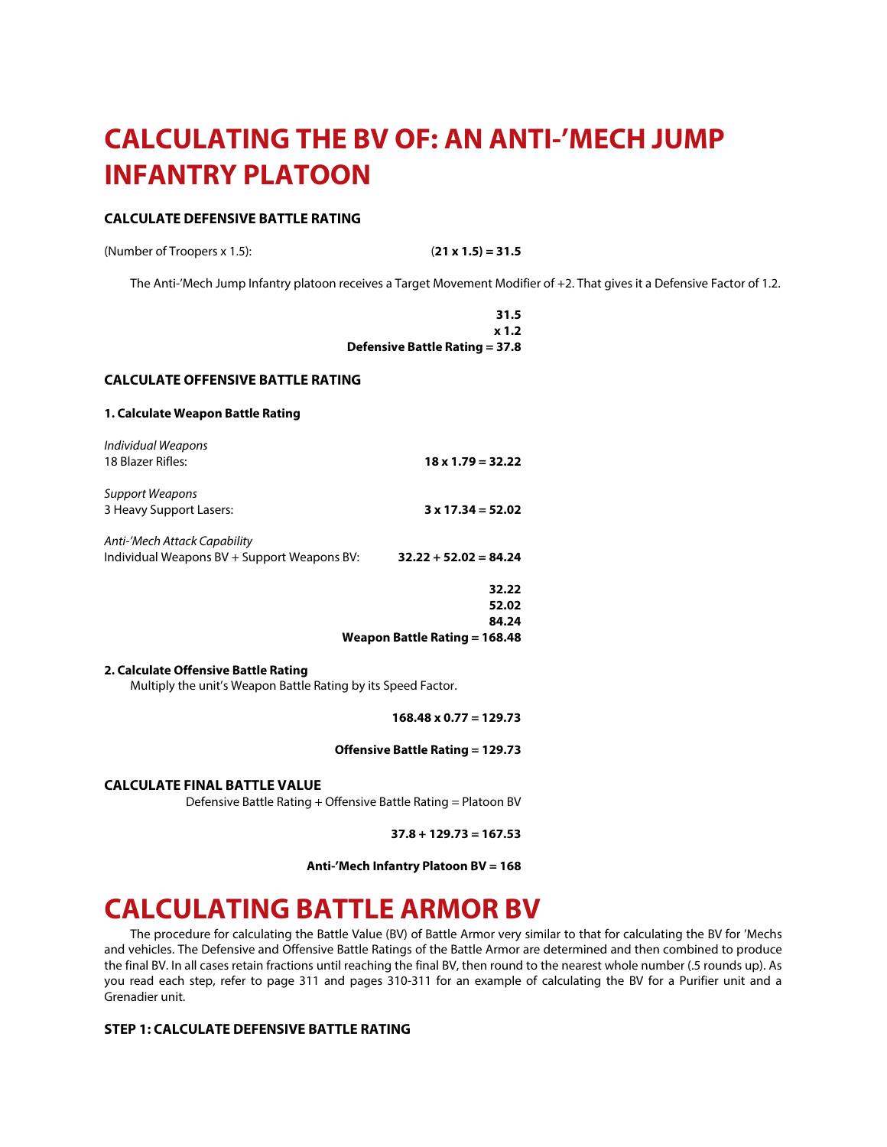# **CALCULATING THE BV OF: AN ANTI-'MECH JUMP INFANTRY PLATOON**

## **CALCULATE DEFENSIVE BATTLE RATING**

(Number of Troopers x 1.5): (**21 x 1.5) = 31.5**

The Anti-'Mech Jump Infantry platoon receives a Target Movement Modifier of +2. That gives it a Defensive Factor of 1.2.

**31.5 x 1.2 Defensive Battle Rating = 37.8**

### **CALCULATE OFFENSIVE BATTLE RATING**

## **1. Calculate Weapon Battle Rating**

|                                                                             | Weapon Battle Rating = 168.48 |
|-----------------------------------------------------------------------------|-------------------------------|
|                                                                             | 84.24                         |
|                                                                             | 52.02                         |
|                                                                             | 32.22                         |
| Anti-'Mech Attack Capability<br>Individual Weapons BV + Support Weapons BV: | $32.22 + 52.02 = 84.24$       |
| Support Weapons<br>3 Heavy Support Lasers:                                  | $3 \times 17.34 = 52.02$      |
| Individual Weapons<br>18 Blazer Rifles:                                     | $18 \times 1.79 = 32.22$      |

## **2. Calculate Offensive Battle Rating**

Multiply the unit's Weapon Battle Rating by its Speed Factor.

**168.48 x 0.77 = 129.73**

## **Offensive Battle Rating = 129.73**

**CALCULATE FINAL BATTLE VALUE**

Defensive Battle Rating + Offensive Battle Rating = Platoon BV

**37.8 + 129.73 = 167.53**

**Anti-'Mech Infantry Platoon BV = 168**

## **CALCULATING BATTLE ARMOR BV**

The procedure for calculating the Battle Value (BV) of Battle Armor very similar to that for calculating the BV for 'Mechs and vehicles. The Defensive and Offensive Battle Ratings of the Battle Armor are determined and then combined to produce the final BV. In all cases retain fractions until reaching the final BV, then round to the nearest whole number (.5 rounds up). As you read each step, refer to page 311 and pages 310-311 for an example of calculating the BV for a Purifier unit and a Grenadier unit.

## **STEP 1: CALCULATE DEFENSIVE BATTLE RATING**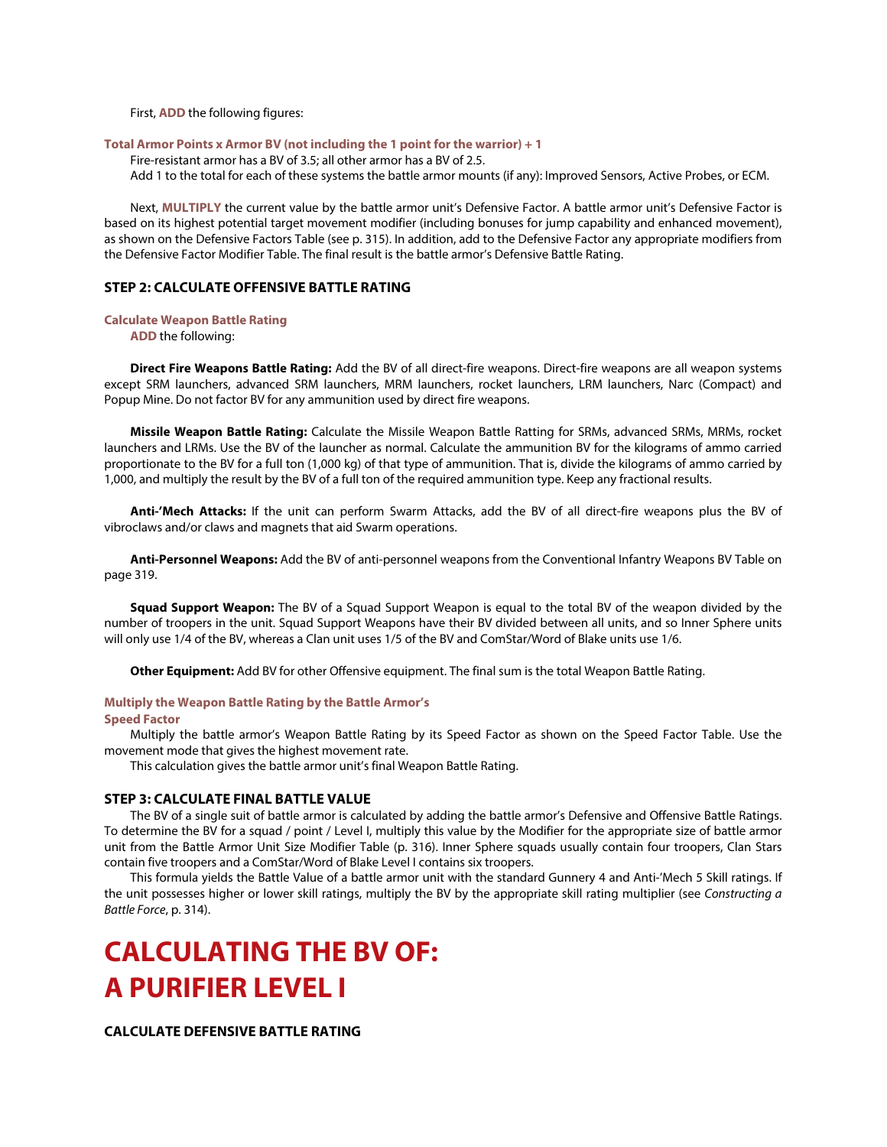First, **ADD** the following figures:

#### **Total Armor Points x Armor BV (not including the 1 point for the warrior) + 1**

Fire-resistant armor has a BV of 3.5; all other armor has a BV of 2.5. Add 1 to the total for each of these systems the battle armor mounts (if any): Improved Sensors, Active Probes, or ECM.

Next, **MULTIPLY** the current value by the battle armor unit's Defensive Factor. A battle armor unit's Defensive Factor is based on its highest potential target movement modifier (including bonuses for jump capability and enhanced movement), as shown on the Defensive Factors Table (see p. 315). In addition, add to the Defensive Factor any appropriate modifiers from the Defensive Factor Modifier Table. The final result is the battle armor's Defensive Battle Rating.

## **STEP 2: CALCULATE OFFENSIVE BATTLE RATING**

#### **Calculate Weapon Battle Rating**

**ADD** the following:

**Direct Fire Weapons Battle Rating:** Add the BV of all direct-fire weapons. Direct-fire weapons are all weapon systems except SRM launchers, advanced SRM launchers, MRM launchers, rocket launchers, LRM launchers, Narc (Compact) and Popup Mine. Do not factor BV for any ammunition used by direct fire weapons.

**Missile Weapon Battle Rating:** Calculate the Missile Weapon Battle Ratting for SRMs, advanced SRMs, MRMs, rocket launchers and LRMs. Use the BV of the launcher as normal. Calculate the ammunition BV for the kilograms of ammo carried proportionate to the BV for a full ton (1,000 kg) of that type of ammunition. That is, divide the kilograms of ammo carried by 1,000, and multiply the result by the BV of a full ton of the required ammunition type. Keep any fractional results.

**Anti-'Mech Attacks:** If the unit can perform Swarm Attacks, add the BV of all direct-fire weapons plus the BV of vibroclaws and/or claws and magnets that aid Swarm operations.

**Anti-Personnel Weapons:** Add the BV of anti-personnel weapons from the Conventional Infantry Weapons BV Table on page 319.

**Squad Support Weapon:** The BV of a Squad Support Weapon is equal to the total BV of the weapon divided by the number of troopers in the unit. Squad Support Weapons have their BV divided between all units, and so Inner Sphere units will only use 1/4 of the BV, whereas a Clan unit uses 1/5 of the BV and ComStar/Word of Blake units use 1/6.

**Other Equipment:** Add BV for other Offensive equipment. The final sum is the total Weapon Battle Rating.

## **Multiply the Weapon Battle Rating by the Battle Armor's**

#### **Speed Factor**

Multiply the battle armor's Weapon Battle Rating by its Speed Factor as shown on the Speed Factor Table. Use the movement mode that gives the highest movement rate.

This calculation gives the battle armor unit's final Weapon Battle Rating.

#### **STEP 3: CALCULATE FINAL BATTLE VALUE**

The BV of a single suit of battle armor is calculated by adding the battle armor's Defensive and Offensive Battle Ratings. To determine the BV for a squad / point / Level I, multiply this value by the Modifier for the appropriate size of battle armor unit from the Battle Armor Unit Size Modifier Table (p. 316). Inner Sphere squads usually contain four troopers, Clan Stars contain five troopers and a ComStar/Word of Blake Level I contains six troopers.

This formula yields the Battle Value of a battle armor unit with the standard Gunnery 4 and Anti-'Mech 5 Skill ratings. If the unit possesses higher or lower skill ratings, multiply the BV by the appropriate skill rating multiplier (see *Constructing a Battle Force*, p. 314).

# **CALCULATING THE BV OF: A PURIFIER LEVEL I**

**CALCULATE DEFENSIVE BATTLE RATING**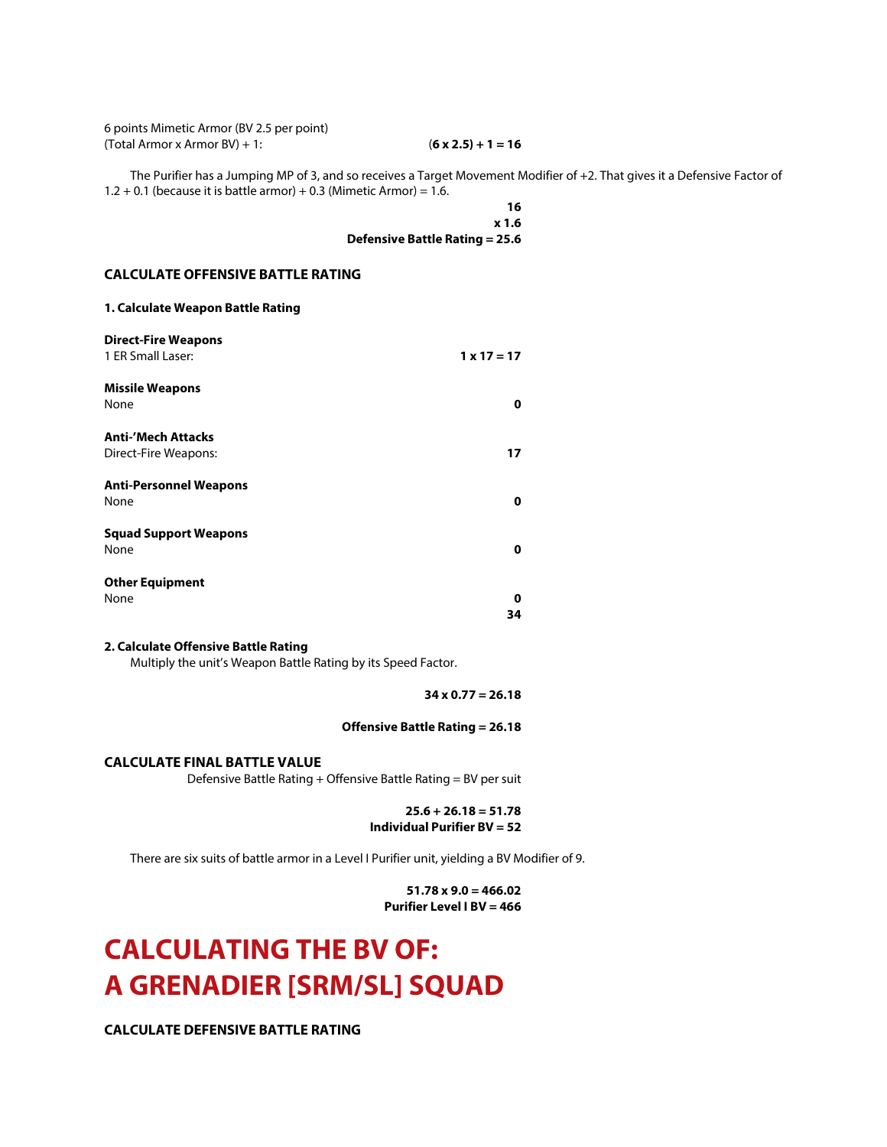6 points Mimetic Armor (BV 2.5 per point) (Total Armor x Armor BV) + 1: (**6 x 2.5) + 1 = 16**

The Purifier has a Jumping MP of 3, and so receives a Target Movement Modifier of +2. That gives it a Defensive Factor of  $1.2 + 0.1$  (because it is battle armor) + 0.3 (Mimetic Armor) = 1.6.

> **16 x 1.6 Defensive Battle Rating = 25.6**

## **CALCULATE OFFENSIVE BATTLE RATING**

| <b>Direct-Fire Weapons</b>    |                    |
|-------------------------------|--------------------|
| 1 ER Small Laser:             | $1 \times 17 = 17$ |
| <b>Missile Weapons</b>        |                    |
| None                          | 0                  |
| <b>Anti-'Mech Attacks</b>     |                    |
| Direct-Fire Weapons:          | 17                 |
| <b>Anti-Personnel Weapons</b> |                    |
| None                          | 0                  |
| <b>Squad Support Weapons</b>  |                    |
| None                          | 0                  |
| <b>Other Equipment</b>        |                    |
| None                          | 0                  |
|                               | 34                 |

## **2. Calculate Offensive Battle Rating**

Multiply the unit's Weapon Battle Rating by its Speed Factor.

**34 x 0.77 = 26.18**

## **Offensive Battle Rating = 26.18**

**CALCULATE FINAL BATTLE VALUE**

Defensive Battle Rating + Offensive Battle Rating = BV per suit

## **25.6 + 26.18 = 51.78 Individual Purifier BV = 52**

There are six suits of battle armor in a Level I Purifier unit, yielding a BV Modifier of 9.

**51.78 x 9.0 = 466.02 Purifier Level I BV = 466**

# **CALCULATING THE BV OF: A GRENADIER [SRM/SL] SQUAD**

**CALCULATE DEFENSIVE BATTLE RATING**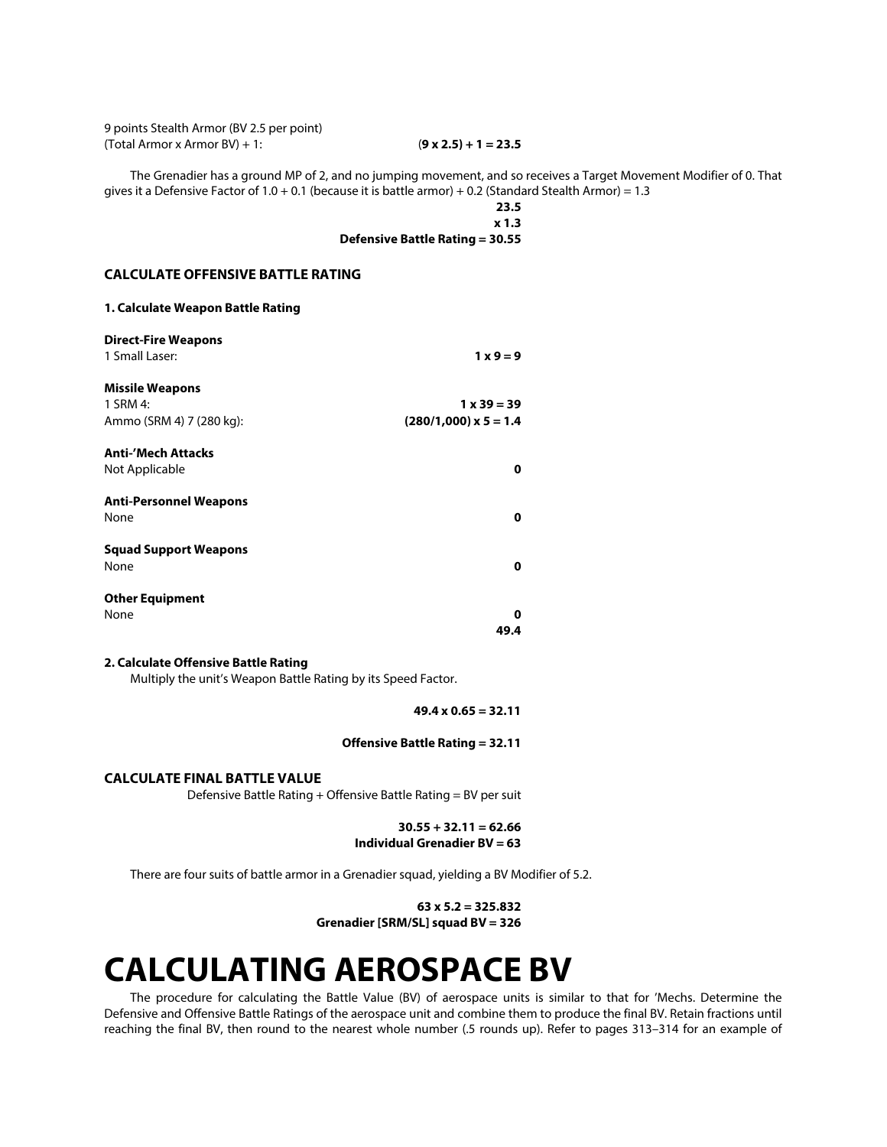9 points Stealth Armor (BV 2.5 per point) (Total Armor x Armor BV) + 1: (**9 x 2.5) + 1 = 23.5**

The Grenadier has a ground MP of 2, and no jumping movement, and so receives a Target Movement Modifier of 0. That gives it a Defensive Factor of 1.0 + 0.1 (because it is battle armor) + 0.2 (Standard Stealth Armor) = 1.3

> **23.5 x 1.3 Defensive Battle Rating = 30.55**

## **CALCULATE OFFENSIVE BATTLE RATING**

| <b>Direct-Fire Weapons</b>    |                         |
|-------------------------------|-------------------------|
| 1 Small Laser:                | $1 \times 9 = 9$        |
| <b>Missile Weapons</b>        |                         |
| 1 SRM 4:                      | $1 \times 39 = 39$      |
| Ammo (SRM 4) 7 (280 kg):      | $(280/1,000)$ x 5 = 1.4 |
| <b>Anti-'Mech Attacks</b>     |                         |
| Not Applicable                | 0                       |
| <b>Anti-Personnel Weapons</b> |                         |
| None                          | 0                       |
| <b>Squad Support Weapons</b>  |                         |
| None                          | 0                       |
| <b>Other Equipment</b>        |                         |
| None                          | Ω                       |
|                               | 49.4                    |

## **2. Calculate Offensive Battle Rating**

Multiply the unit's Weapon Battle Rating by its Speed Factor.

**49.4 x 0.65 = 32.11**

## **Offensive Battle Rating = 32.11**

## **CALCULATE FINAL BATTLE VALUE**

Defensive Battle Rating + Offensive Battle Rating = BV per suit

**30.55 + 32.11 = 62.66 Individual Grenadier BV = 63**

There are four suits of battle armor in a Grenadier squad, yielding a BV Modifier of 5.2.

**63 x 5.2 = 325.832 Grenadier [SRM/SL] squad BV = 326**

# **CALCULATING AEROSPACE BV**

The procedure for calculating the Battle Value (BV) of aerospace units is similar to that for 'Mechs. Determine the Defensive and Offensive Battle Ratings of the aerospace unit and combine them to produce the final BV. Retain fractions until reaching the final BV, then round to the nearest whole number (.5 rounds up). Refer to pages 313–314 for an example of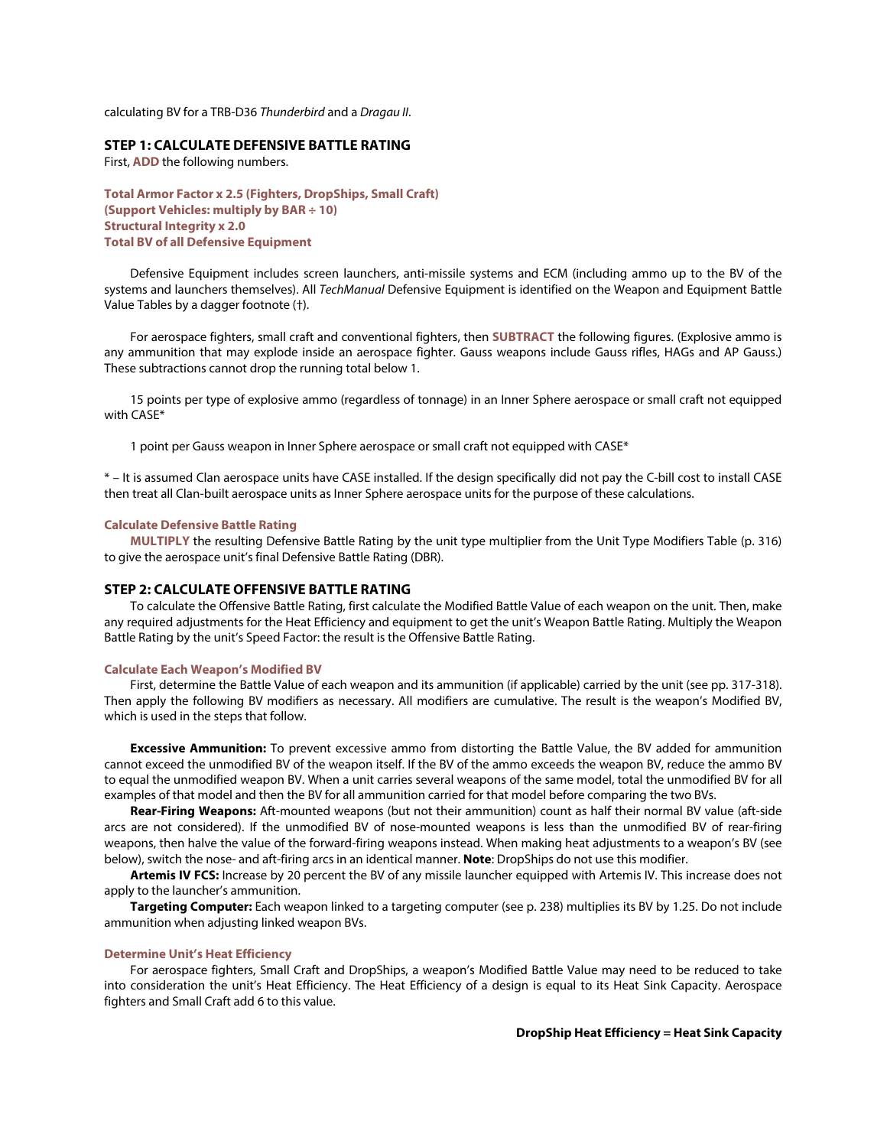calculating BV for a TRB-D36 *Thunderbird* and a *Dragau II*.

## **STEP 1: CALCULATE DEFENSIVE BATTLE RATING**

First, **ADD** the following numbers.

**Total Armor Factor x 2.5 (Fighters, DropShips, Small Craft) (Support Vehicles: multiply by BAR ÷ 10) Structural Integrity x 2.0 Total BV of all Defensive Equipment**

Defensive Equipment includes screen launchers, anti-missile systems and ECM (including ammo up to the BV of the systems and launchers themselves). All *TechManual* Defensive Equipment is identified on the Weapon and Equipment Battle Value Tables by a dagger footnote (†).

For aerospace fighters, small craft and conventional fighters, then **SUBTRACT** the following figures. (Explosive ammo is any ammunition that may explode inside an aerospace fighter. Gauss weapons include Gauss rifles, HAGs and AP Gauss.) These subtractions cannot drop the running total below 1.

15 points per type of explosive ammo (regardless of tonnage) in an Inner Sphere aerospace or small craft not equipped with CASE\*

1 point per Gauss weapon in Inner Sphere aerospace or small craft not equipped with CASE\*

\* – It is assumed Clan aerospace units have CASE installed. If the design specifically did not pay the C-bill cost to install CASE then treat all Clan-built aerospace units as Inner Sphere aerospace units for the purpose of these calculations.

#### **Calculate Defensive Battle Rating**

**MULTIPLY** the resulting Defensive Battle Rating by the unit type multiplier from the Unit Type Modifiers Table (p. 316) to give the aerospace unit's final Defensive Battle Rating (DBR).

## **STEP 2: CALCULATE OFFENSIVE BATTLE RATING**

To calculate the Offensive Battle Rating, first calculate the Modified Battle Value of each weapon on the unit. Then, make any required adjustments for the Heat Efficiency and equipment to get the unit's Weapon Battle Rating. Multiply the Weapon Battle Rating by the unit's Speed Factor: the result is the Offensive Battle Rating.

#### **Calculate Each Weapon's Modified BV**

First, determine the Battle Value of each weapon and its ammunition (if applicable) carried by the unit (see pp. 317-318). Then apply the following BV modifiers as necessary. All modifiers are cumulative. The result is the weapon's Modified BV, which is used in the steps that follow.

**Excessive Ammunition:** To prevent excessive ammo from distorting the Battle Value, the BV added for ammunition cannot exceed the unmodified BV of the weapon itself. If the BV of the ammo exceeds the weapon BV, reduce the ammo BV to equal the unmodified weapon BV. When a unit carries several weapons of the same model, total the unmodified BV for all examples of that model and then the BV for all ammunition carried for that model before comparing the two BVs.

**Rear-Firing Weapons:** Aft-mounted weapons (but not their ammunition) count as half their normal BV value (aft-side arcs are not considered). If the unmodified BV of nose-mounted weapons is less than the unmodified BV of rear-firing weapons, then halve the value of the forward-firing weapons instead. When making heat adjustments to a weapon's BV (see below), switch the nose- and aft-firing arcs in an identical manner. **Note**: DropShips do not use this modifier.

**Artemis IV FCS:** Increase by 20 percent the BV of any missile launcher equipped with Artemis IV. This increase does not apply to the launcher's ammunition.

**Targeting Computer:** Each weapon linked to a targeting computer (see p. 238) multiplies its BV by 1.25. Do not include ammunition when adjusting linked weapon BVs.

#### **Determine Unit's Heat Efficiency**

For aerospace fighters, Small Craft and DropShips, a weapon's Modified Battle Value may need to be reduced to take into consideration the unit's Heat Efficiency. The Heat Efficiency of a design is equal to its Heat Sink Capacity. Aerospace fighters and Small Craft add 6 to this value.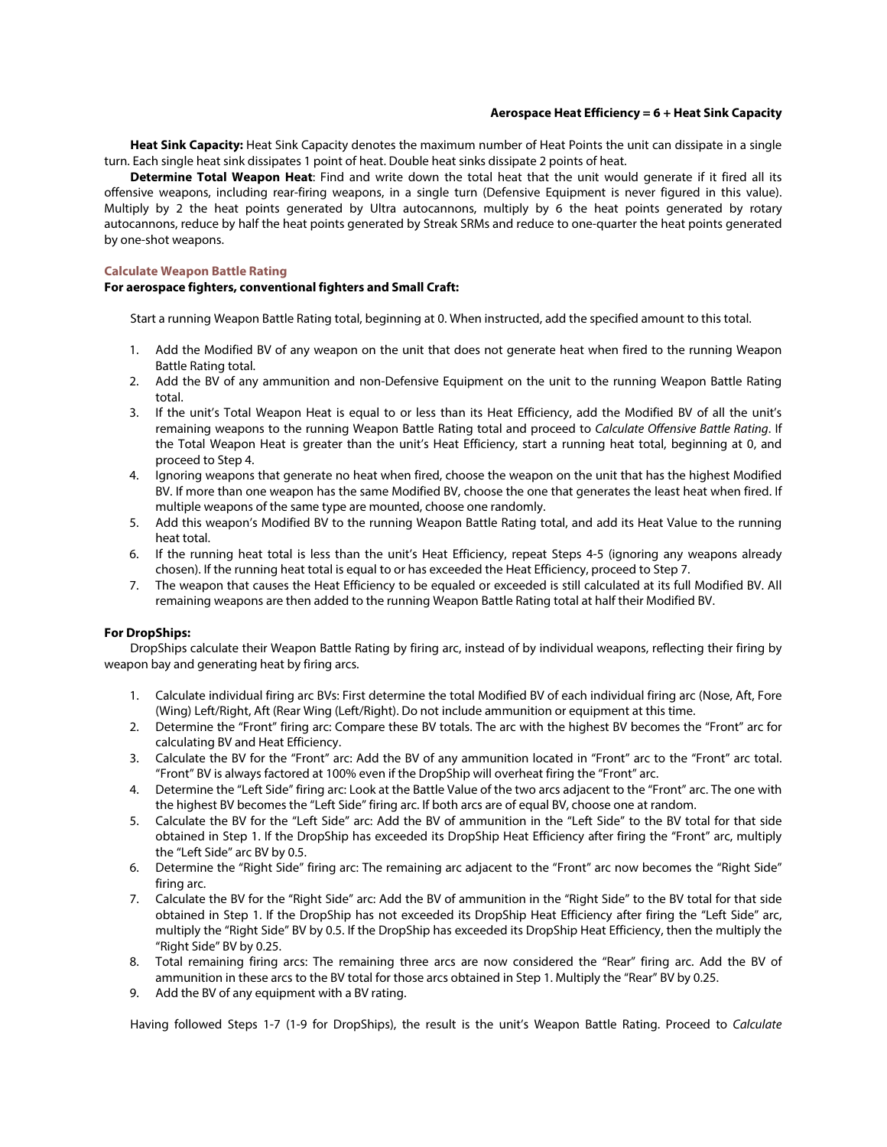## **Aerospace Heat Efficiency = 6 + Heat Sink Capacity**

**Heat Sink Capacity:** Heat Sink Capacity denotes the maximum number of Heat Points the unit can dissipate in a single turn. Each single heat sink dissipates 1 point of heat. Double heat sinks dissipate 2 points of heat.

**Determine Total Weapon Heat**: Find and write down the total heat that the unit would generate if it fired all its offensive weapons, including rear-firing weapons, in a single turn (Defensive Equipment is never figured in this value). Multiply by 2 the heat points generated by Ultra autocannons, multiply by 6 the heat points generated by rotary autocannons, reduce by half the heat points generated by Streak SRMs and reduce to one-quarter the heat points generated by one-shot weapons.

## **Calculate Weapon Battle Rating**

## **For aerospace fighters, conventional fighters and Small Craft:**

Start a running Weapon Battle Rating total, beginning at 0. When instructed, add the specified amount to this total.

- 1. Add the Modified BV of any weapon on the unit that does not generate heat when fired to the running Weapon Battle Rating total.
- 2. Add the BV of any ammunition and non-Defensive Equipment on the unit to the running Weapon Battle Rating total.
- 3. If the unit's Total Weapon Heat is equal to or less than its Heat Efficiency, add the Modified BV of all the unit's remaining weapons to the running Weapon Battle Rating total and proceed to *Calculate Offensive Battle Rating*. If the Total Weapon Heat is greater than the unit's Heat Efficiency, start a running heat total, beginning at 0, and proceed to Step 4.
- 4. Ignoring weapons that generate no heat when fired, choose the weapon on the unit that has the highest Modified BV. If more than one weapon has the same Modified BV, choose the one that generates the least heat when fired. If multiple weapons of the same type are mounted, choose one randomly.
- 5. Add this weapon's Modified BV to the running Weapon Battle Rating total, and add its Heat Value to the running heat total.
- 6. If the running heat total is less than the unit's Heat Efficiency, repeat Steps 4-5 (ignoring any weapons already chosen). If the running heat total is equal to or has exceeded the Heat Efficiency, proceed to Step 7.
- 7. The weapon that causes the Heat Efficiency to be equaled or exceeded is still calculated at its full Modified BV. All remaining weapons are then added to the running Weapon Battle Rating total at half their Modified BV.

## **For DropShips:**

DropShips calculate their Weapon Battle Rating by firing arc, instead of by individual weapons, reflecting their firing by weapon bay and generating heat by firing arcs.

- 1. Calculate individual firing arc BVs: First determine the total Modified BV of each individual firing arc (Nose, Aft, Fore (Wing) Left/Right, Aft (Rear Wing (Left/Right). Do not include ammunition or equipment at this time.
- 2. Determine the "Front" firing arc: Compare these BV totals. The arc with the highest BV becomes the "Front" arc for calculating BV and Heat Efficiency.
- 3. Calculate the BV for the "Front" arc: Add the BV of any ammunition located in "Front" arc to the "Front" arc total. "Front" BV is always factored at 100% even if the DropShip will overheat firing the "Front" arc.
- 4. Determine the "Left Side" firing arc: Look at the Battle Value of the two arcs adjacent to the "Front" arc. The one with the highest BV becomes the "Left Side" firing arc. If both arcs are of equal BV, choose one at random.
- 5. Calculate the BV for the "Left Side" arc: Add the BV of ammunition in the "Left Side" to the BV total for that side obtained in Step 1. If the DropShip has exceeded its DropShip Heat Efficiency after firing the "Front" arc, multiply the "Left Side" arc BV by 0.5.
- 6. Determine the "Right Side" firing arc: The remaining arc adjacent to the "Front" arc now becomes the "Right Side" firing arc.
- 7. Calculate the BV for the "Right Side" arc: Add the BV of ammunition in the "Right Side" to the BV total for that side obtained in Step 1. If the DropShip has not exceeded its DropShip Heat Efficiency after firing the "Left Side" arc, multiply the "Right Side" BV by 0.5. If the DropShip has exceeded its DropShip Heat Efficiency, then the multiply the "Right Side" BV by 0.25.
- 8. Total remaining firing arcs: The remaining three arcs are now considered the "Rear" firing arc. Add the BV of ammunition in these arcs to the BV total for those arcs obtained in Step 1. Multiply the "Rear" BV by 0.25.
- 9. Add the BV of any equipment with a BV rating.

Having followed Steps 1-7 (1-9 for DropShips), the result is the unit's Weapon Battle Rating. Proceed to *Calculate*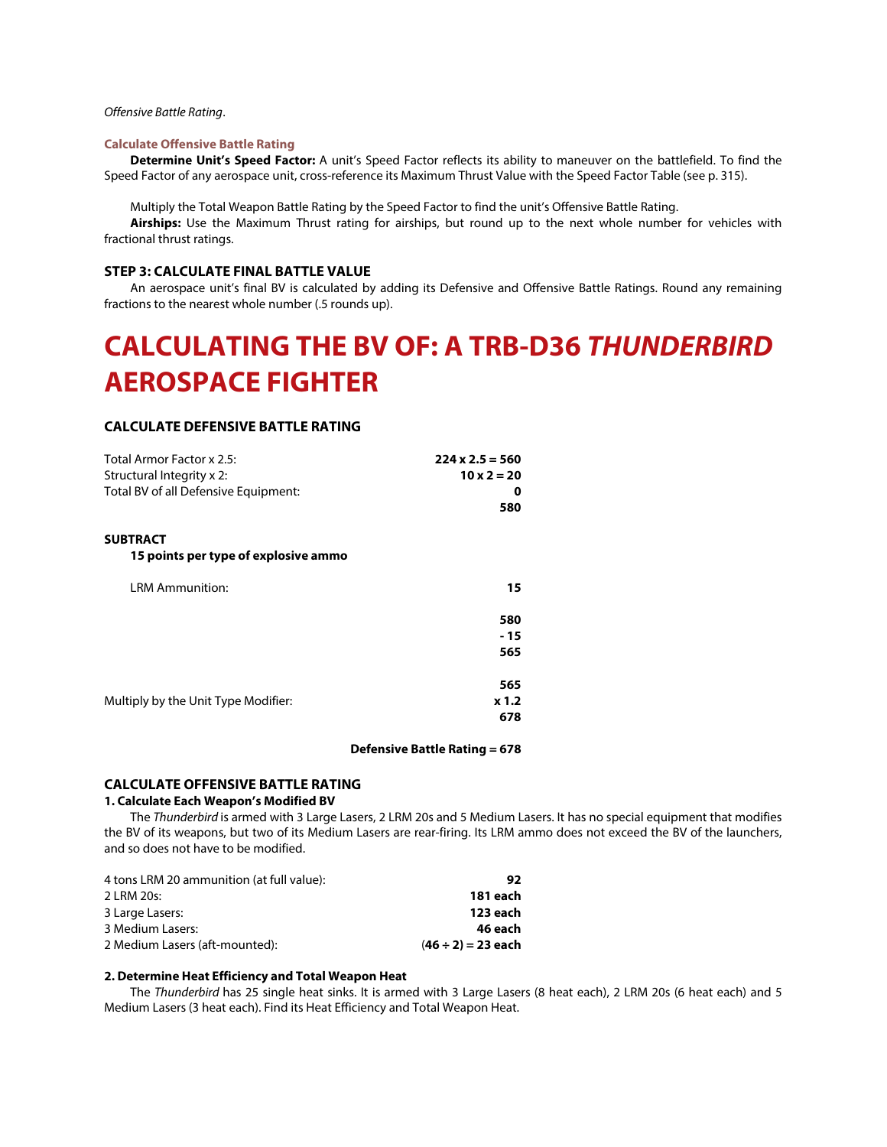## *Offensive Battle Rating*.

#### **Calculate Offensive Battle Rating**

**Determine Unit's Speed Factor:** A unit's Speed Factor reflects its ability to maneuver on the battlefield. To find the Speed Factor of any aerospace unit, cross-reference its Maximum Thrust Value with the Speed Factor Table (see p. 315).

Multiply the Total Weapon Battle Rating by the Speed Factor to find the unit's Offensive Battle Rating.

**Airships:** Use the Maximum Thrust rating for airships, but round up to the next whole number for vehicles with fractional thrust ratings.

## **STEP 3: CALCULATE FINAL BATTLE VALUE**

An aerospace unit's final BV is calculated by adding its Defensive and Offensive Battle Ratings. Round any remaining fractions to the nearest whole number (.5 rounds up).

# **CALCULATING THE BV OF: A TRB-D36** *THUNDERBIRD* **AEROSPACE FIGHTER**

## **CALCULATE DEFENSIVE BATTLE RATING**

| Total Armor Factor x 2.5:            | $224 \times 2.5 = 560$ |
|--------------------------------------|------------------------|
| Structural Integrity x 2:            | $10 \times 2 = 20$     |
| Total BV of all Defensive Equipment: | 0                      |
|                                      | 580                    |
| <b>SUBTRACT</b>                      |                        |
| 15 points per type of explosive ammo |                        |
| <b>LRM Ammunition:</b>               | 15                     |
|                                      | 580                    |
|                                      | - 15                   |
|                                      | 565                    |
|                                      | 565                    |
| Multiply by the Unit Type Modifier:  | x 1.2                  |
|                                      | 678                    |

#### **Defensive Battle Rating = 678**

#### **CALCULATE OFFENSIVE BATTLE RATING**

## **1. Calculate Each Weapon's Modified BV**

The *Thunderbird* is armed with 3 Large Lasers, 2 LRM 20s and 5 Medium Lasers. It has no special equipment that modifies the BV of its weapons, but two of its Medium Lasers are rear-firing. Its LRM ammo does not exceed the BV of the launchers, and so does not have to be modified.

| 4 tons LRM 20 ammunition (at full value): | 92                      |
|-------------------------------------------|-------------------------|
| 2 LRM 20s:                                | 181 each                |
| 3 Large Lasers:                           | 123 each                |
| 3 Medium Lasers:                          | 46 each                 |
| 2 Medium Lasers (aft-mounted):            | $(46 \div 2) = 23$ each |

#### **2. Determine Heat Efficiency and Total Weapon Heat**

The *Thunderbird* has 25 single heat sinks. It is armed with 3 Large Lasers (8 heat each), 2 LRM 20s (6 heat each) and 5 Medium Lasers (3 heat each). Find its Heat Efficiency and Total Weapon Heat.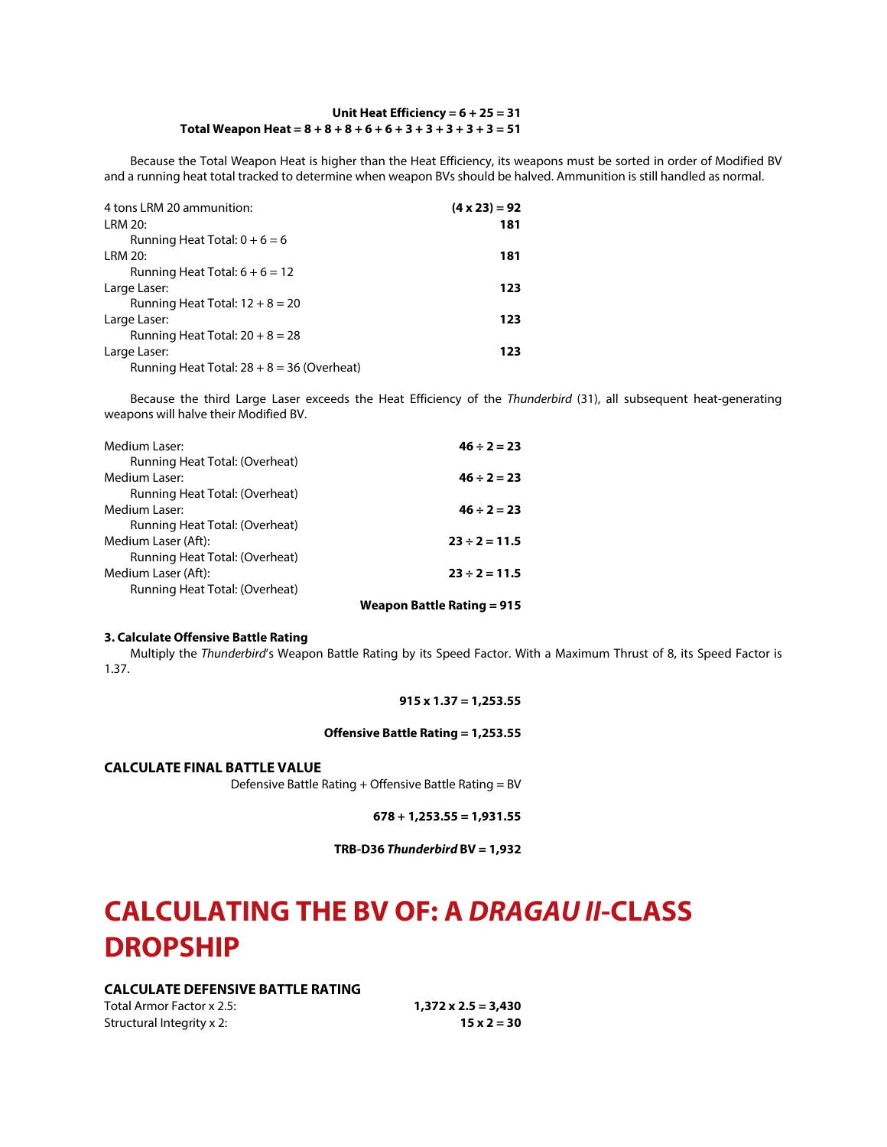## **Unit Heat Efficiency = 6 + 25 = 31 Total Weapon Heat = 8 + 8 + 8 + 6 + 6 + 3 + 3 + 3 + 3 + 3 = 51**

Because the Total Weapon Heat is higher than the Heat Efficiency, its weapons must be sorted in order of Modified BV and a running heat total tracked to determine when weapon BVs should be halved. Ammunition is still handled as normal.

| 4 tons LRM 20 ammunition:                    | $(4 \times 23) = 92$ |
|----------------------------------------------|----------------------|
| LRM 20:                                      | 181                  |
| Running Heat Total: $0 + 6 = 6$              |                      |
| LRM 20:                                      | 181                  |
| Running Heat Total: $6 + 6 = 12$             |                      |
| Large Laser:                                 | 123                  |
| Running Heat Total: $12 + 8 = 20$            |                      |
| Large Laser:                                 | 123                  |
| Running Heat Total: $20 + 8 = 28$            |                      |
| Large Laser:                                 | 123                  |
| Running Heat Total: $28 + 8 = 36$ (Overheat) |                      |

Because the third Large Laser exceeds the Heat Efficiency of the *Thunderbird* (31), all subsequent heat-generating weapons will halve their Modified BV.

| Medium Laser:                  | $46 \div 2 = 23$   |
|--------------------------------|--------------------|
| Running Heat Total: (Overheat) |                    |
| Medium Laser:                  | $46 \div 2 = 23$   |
| Running Heat Total: (Overheat) |                    |
| Medium Laser:                  | $46 \div 2 = 23$   |
| Running Heat Total: (Overheat) |                    |
| Medium Laser (Aft):            | $23 \div 2 = 11.5$ |
| Running Heat Total: (Overheat) |                    |
| Medium Laser (Aft):            | $23 \div 2 = 11.5$ |
| Running Heat Total: (Overheat) |                    |
|                                |                    |

## **Weapon Battle Rating = 915**

## **3. Calculate Offensive Battle Rating**

Multiply the *Thunderbird*'s Weapon Battle Rating by its Speed Factor. With a Maximum Thrust of 8, its Speed Factor is 1.37.

## **915 x 1.37 = 1,253.55**

#### **Offensive Battle Rating = 1,253.55**

**CALCULATE FINAL BATTLE VALUE**

Defensive Battle Rating + Offensive Battle Rating = BV

**678 + 1,253.55 = 1,931.55**

**TRB-D36** *Thunderbird* **BV = 1,932**

# **CALCULATING THE BV OF: A** *DRAGAU II***-CLASS DROPSHIP**

## **CALCULATE DEFENSIVE BATTLE RATING**

Total Armor Factor x 2.5: **1,372 x 2.5 = 3,430** Structural Integrity x 2: **15 x 2 = 30**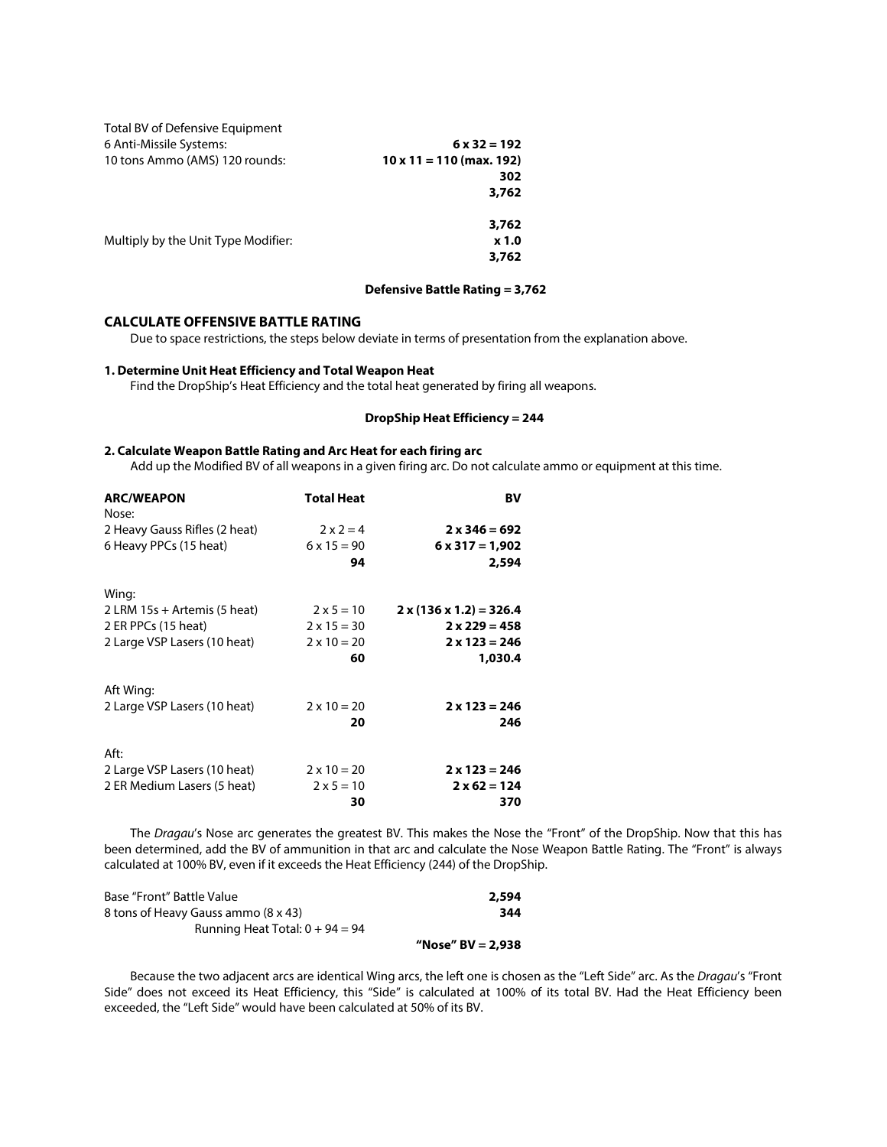| Total BV of Defensive Equipment     |                                 |
|-------------------------------------|---------------------------------|
| 6 Anti-Missile Systems:             | $6 \times 32 = 192$             |
| 10 tons Ammo (AMS) 120 rounds:      | $10 \times 11 = 110$ (max. 192) |
|                                     | 302                             |
|                                     | 3,762                           |
|                                     | 3,762                           |
| Multiply by the Unit Type Modifier: | x 1.0                           |
|                                     | 3,762                           |

## **Defensive Battle Rating = 3,762**

## **CALCULATE OFFENSIVE BATTLE RATING**

Due to space restrictions, the steps below deviate in terms of presentation from the explanation above.

## **1. Determine Unit Heat Efficiency and Total Weapon Heat**

Find the DropShip's Heat Efficiency and the total heat generated by firing all weapons.

## **DropShip Heat Efficiency = 244**

## **2. Calculate Weapon Battle Rating and Arc Heat for each firing arc**

Add up the Modified BV of all weapons in a given firing arc. Do not calculate ammo or equipment at this time.

| <b>ARC/WEAPON</b>              | <b>Total Heat</b>  | BV                                  |
|--------------------------------|--------------------|-------------------------------------|
| Nose:                          |                    |                                     |
| 2 Heavy Gauss Rifles (2 heat)  | $2 \times 2 = 4$   | $2 x 346 = 692$                     |
| 6 Heavy PPCs (15 heat)         | $6 \times 15 = 90$ | $6 \times 317 = 1,902$              |
|                                | 94                 | 2,594                               |
| Wing:                          |                    |                                     |
| 2 LRM $15s +$ Artemis (5 heat) | $2 \times 5 = 10$  | $2 \times (136 \times 1.2) = 326.4$ |
| 2 ER PPCs (15 heat)            | $2 \times 15 = 30$ | $2 \times 229 = 458$                |
| 2 Large VSP Lasers (10 heat)   | $2 \times 10 = 20$ | $2 \times 123 = 246$                |
|                                | 60                 | 1,030.4                             |
| Aft Wing:                      |                    |                                     |
| 2 Large VSP Lasers (10 heat)   | $2 \times 10 = 20$ | $2 \times 123 = 246$                |
|                                | 20                 | 246                                 |
| Aft:                           |                    |                                     |
| 2 Large VSP Lasers (10 heat)   | $2 \times 10 = 20$ | $2 \times 123 = 246$                |
| 2 ER Medium Lasers (5 heat)    | $2 \times 5 = 10$  | $2 \times 62 = 124$                 |
|                                | 30                 | 370                                 |

The *Dragau*'s Nose arc generates the greatest BV. This makes the Nose the "Front" of the DropShip. Now that this has been determined, add the BV of ammunition in that arc and calculate the Nose Weapon Battle Rating. The "Front" is always calculated at 100% BV, even if it exceeds the Heat Efficiency (244) of the DropShip.

| Base "Front" Battle Value           | 2,594 |
|-------------------------------------|-------|
| 8 tons of Heavy Gauss ammo (8 x 43) | 344   |
| Running Heat Total: $0 + 94 = 94$   |       |

#### **"Nose" BV = 2,938**

Because the two adjacent arcs are identical Wing arcs, the left one is chosen as the "Left Side" arc. As the *Dragau*'s "Front Side" does not exceed its Heat Efficiency, this "Side" is calculated at 100% of its total BV. Had the Heat Efficiency been exceeded, the "Left Side" would have been calculated at 50% of its BV.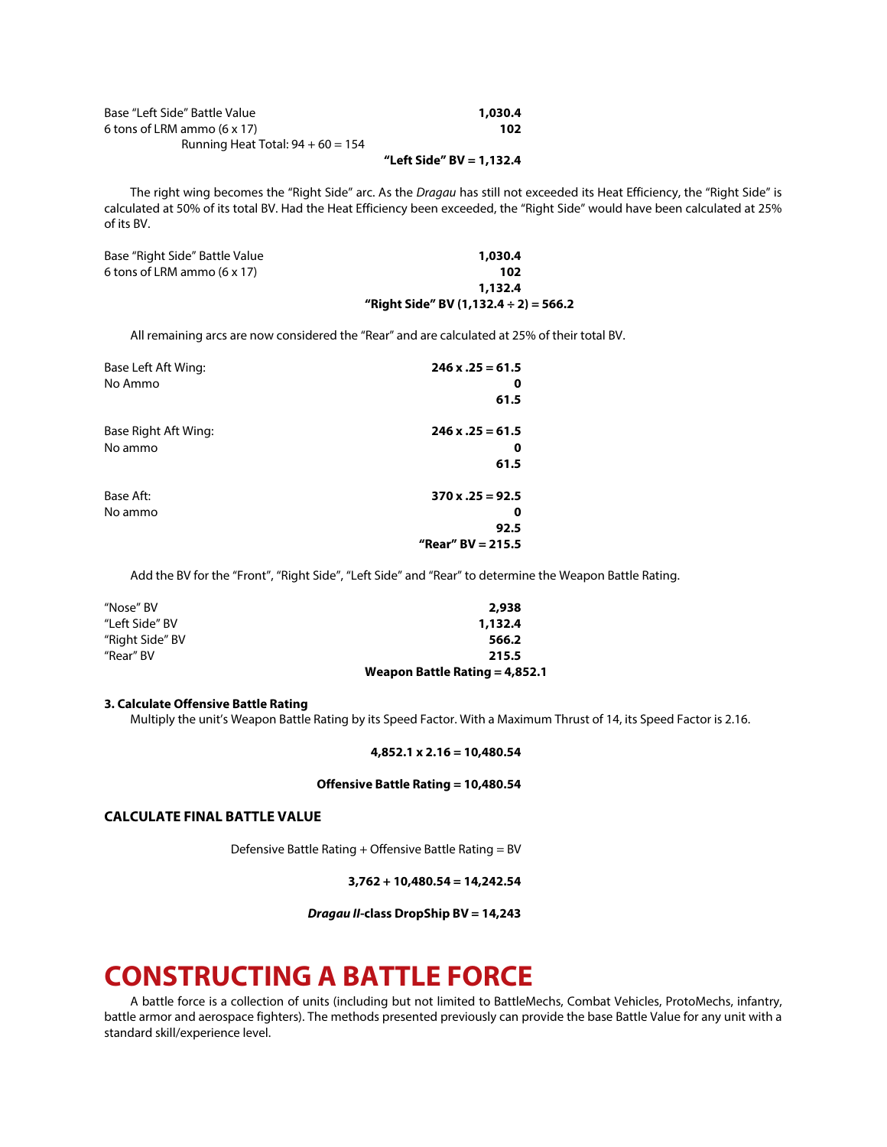| Base "Left Side" Battle Value       | 1,030.4 |
|-------------------------------------|---------|
| 6 tons of LRM ammo $(6 \times 17)$  | 102     |
| Running Heat Total: $94 + 60 = 154$ |         |

## **"Left Side" BV = 1,132.4**

The right wing becomes the "Right Side" arc. As the *Dragau* has still not exceeded its Heat Efficiency, the "Right Side" is calculated at 50% of its total BV. Had the Heat Efficiency been exceeded, the "Right Side" would have been calculated at 25% of its BV.

| Base "Right Side" Battle Value     | 1,030.4                                    |
|------------------------------------|--------------------------------------------|
| 6 tons of LRM ammo $(6 \times 17)$ | 102                                        |
|                                    | 1.132.4                                    |
|                                    | "Right Side" BV (1,132.4 $\div$ 2) = 566.2 |

All remaining arcs are now considered the "Rear" and are calculated at 25% of their total BV.

| Base Left Aft Wing:  | $246 x .25 = 61.5$       |
|----------------------|--------------------------|
| No Ammo              | o                        |
|                      | 61.5                     |
| Base Right Aft Wing: | $246 x .25 = 61.5$       |
| No ammo              | 0                        |
|                      | 61.5                     |
| Base Aft:            | $370 \times 0.25 = 92.5$ |
| No ammo              | 0                        |
|                      | 92.5                     |
|                      | "Rear" $BV = 215.5$      |

Add the BV for the "Front", "Right Side", "Left Side" and "Rear" to determine the Weapon Battle Rating.

| "Nose" BV       | 2,938                            |  |  |  |
|-----------------|----------------------------------|--|--|--|
| "Left Side" BV  | 1,132.4                          |  |  |  |
| "Right Side" BV | 566.2                            |  |  |  |
| "Rear" BV       | 215.5                            |  |  |  |
|                 | Weapon Battle Rating $= 4,852.1$ |  |  |  |

#### **3. Calculate Offensive Battle Rating**

Multiply the unit's Weapon Battle Rating by its Speed Factor. With a Maximum Thrust of 14, its Speed Factor is 2.16.

#### **4,852.1 x 2.16 = 10,480.54**

#### **Offensive Battle Rating = 10,480.54**

## **CALCULATE FINAL BATTLE VALUE**

Defensive Battle Rating + Offensive Battle Rating = BV

**3,762 + 10,480.54 = 14,242.54**

*Dragau II***-class DropShip BV = 14,243**

## **CONSTRUCTING A BATTLE FORCE**

A battle force is a collection of units (including but not limited to BattleMechs, Combat Vehicles, ProtoMechs, infantry, battle armor and aerospace fighters). The methods presented previously can provide the base Battle Value for any unit with a standard skill/experience level.